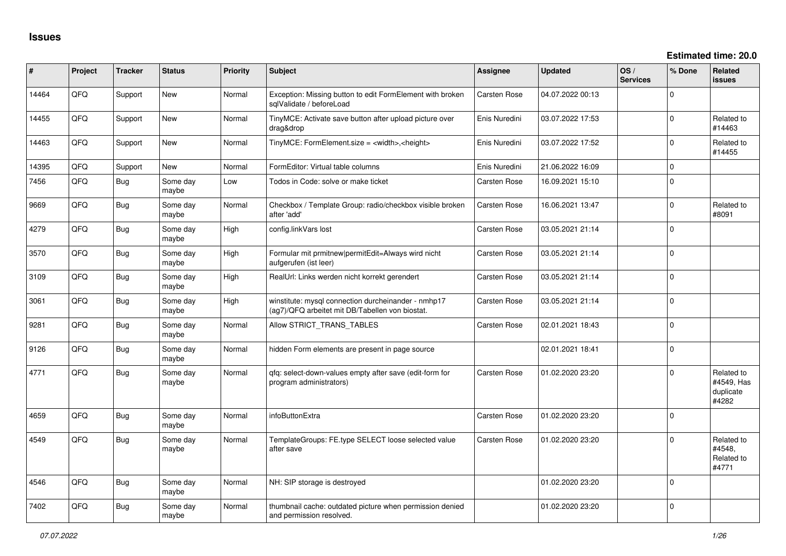| #     | Project | <b>Tracker</b> | <b>Status</b>     | Priority | <b>Subject</b>                                                                                         | <b>Assignee</b>     | <b>Updated</b>   | OS/<br><b>Services</b> | % Done       | Related<br><b>issues</b>                       |
|-------|---------|----------------|-------------------|----------|--------------------------------------------------------------------------------------------------------|---------------------|------------------|------------------------|--------------|------------------------------------------------|
| 14464 | QFQ     | Support        | New               | Normal   | Exception: Missing button to edit FormElement with broken<br>salValidate / beforeLoad                  | <b>Carsten Rose</b> | 04.07.2022 00:13 |                        | $\Omega$     |                                                |
| 14455 | QFQ     | Support        | New               | Normal   | TinyMCE: Activate save button after upload picture over<br>drag&drop                                   | Enis Nuredini       | 03.07.2022 17:53 |                        | $\Omega$     | Related to<br>#14463                           |
| 14463 | QFQ     | Support        | <b>New</b>        | Normal   | TinyMCE: FormElement.size = <width>,<height></height></width>                                          | Enis Nuredini       | 03.07.2022 17:52 |                        | $\Omega$     | Related to<br>#14455                           |
| 14395 | QFQ     | Support        | <b>New</b>        | Normal   | FormEditor: Virtual table columns                                                                      | Enis Nuredini       | 21.06.2022 16:09 |                        | $\mathbf{0}$ |                                                |
| 7456  | QFQ     | <b>Bug</b>     | Some day<br>maybe | Low      | Todos in Code: solve or make ticket                                                                    | Carsten Rose        | 16.09.2021 15:10 |                        | $\Omega$     |                                                |
| 9669  | QFQ     | Bug            | Some day<br>maybe | Normal   | Checkbox / Template Group: radio/checkbox visible broken<br>after 'add'                                | Carsten Rose        | 16.06.2021 13:47 |                        | $\Omega$     | Related to<br>#8091                            |
| 4279  | QFQ     | <b>Bug</b>     | Some day<br>maybe | High     | config.linkVars lost                                                                                   | Carsten Rose        | 03.05.2021 21:14 |                        | $\Omega$     |                                                |
| 3570  | QFQ     | <b>Bug</b>     | Some day<br>maybe | High     | Formular mit prmitnew permitEdit=Always wird nicht<br>aufgerufen (ist leer)                            | Carsten Rose        | 03.05.2021 21:14 |                        | $\Omega$     |                                                |
| 3109  | QFQ     | <b>Bug</b>     | Some day<br>maybe | High     | RealUrl: Links werden nicht korrekt gerendert                                                          | <b>Carsten Rose</b> | 03.05.2021 21:14 |                        | $\Omega$     |                                                |
| 3061  | QFQ     | <b>Bug</b>     | Some day<br>maybe | High     | winstitute: mysql connection durcheinander - nmhp17<br>(ag7)/QFQ arbeitet mit DB/Tabellen von biostat. | <b>Carsten Rose</b> | 03.05.2021 21:14 |                        | $\mathbf 0$  |                                                |
| 9281  | QFQ     | <b>Bug</b>     | Some day<br>maybe | Normal   | Allow STRICT TRANS TABLES                                                                              | Carsten Rose        | 02.01.2021 18:43 |                        | $\Omega$     |                                                |
| 9126  | QFQ     | Bug            | Some day<br>maybe | Normal   | hidden Form elements are present in page source                                                        |                     | 02.01.2021 18:41 |                        | $\mathbf 0$  |                                                |
| 4771  | QFQ     | <b>Bug</b>     | Some day<br>maybe | Normal   | qfq: select-down-values empty after save (edit-form for<br>program administrators)                     | Carsten Rose        | 01.02.2020 23:20 |                        | $\Omega$     | Related to<br>#4549, Has<br>duplicate<br>#4282 |
| 4659  | QFQ     | Bug            | Some day<br>maybe | Normal   | infoButtonExtra                                                                                        | Carsten Rose        | 01.02.2020 23:20 |                        | $\mathbf 0$  |                                                |
| 4549  | QFQ     | Bug            | Some day<br>maybe | Normal   | TemplateGroups: FE.type SELECT loose selected value<br>after save                                      | Carsten Rose        | 01.02.2020 23:20 |                        | 0            | Related to<br>#4548.<br>Related to<br>#4771    |
| 4546  | QFQ     | Bug            | Some day<br>maybe | Normal   | NH: SIP storage is destroyed                                                                           |                     | 01.02.2020 23:20 |                        | $\Omega$     |                                                |
| 7402  | QFQ     | Bug            | Some day<br>maybe | Normal   | thumbnail cache: outdated picture when permission denied<br>and permission resolved.                   |                     | 01.02.2020 23:20 |                        | $\Omega$     |                                                |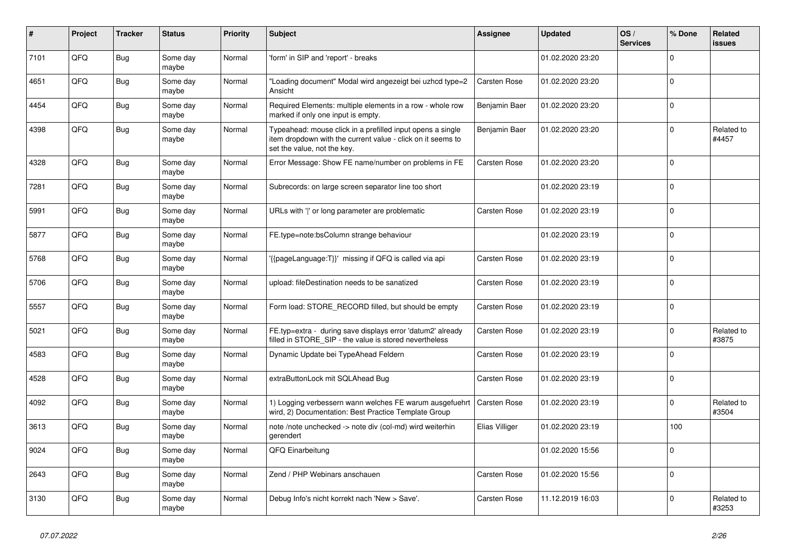| #    | Project | <b>Tracker</b> | <b>Status</b>     | <b>Priority</b> | <b>Subject</b>                                                                                                                                           | <b>Assignee</b>     | <b>Updated</b>   | OS/<br><b>Services</b> | % Done      | Related<br><b>issues</b> |
|------|---------|----------------|-------------------|-----------------|----------------------------------------------------------------------------------------------------------------------------------------------------------|---------------------|------------------|------------------------|-------------|--------------------------|
| 7101 | QFQ     | <b>Bug</b>     | Some day<br>maybe | Normal          | 'form' in SIP and 'report' - breaks                                                                                                                      |                     | 01.02.2020 23:20 |                        | $\Omega$    |                          |
| 4651 | QFQ     | <b>Bug</b>     | Some day<br>maybe | Normal          | "Loading document" Modal wird angezeigt bei uzhcd type=2<br>Ansicht                                                                                      | <b>Carsten Rose</b> | 01.02.2020 23:20 |                        | $\Omega$    |                          |
| 4454 | QFQ     | Bug            | Some day<br>maybe | Normal          | Required Elements: multiple elements in a row - whole row<br>marked if only one input is empty.                                                          | Benjamin Baer       | 01.02.2020 23:20 |                        | $\Omega$    |                          |
| 4398 | QFQ     | <b>Bug</b>     | Some day<br>maybe | Normal          | Typeahead: mouse click in a prefilled input opens a single<br>item dropdown with the current value - click on it seems to<br>set the value, not the key. | Benjamin Baer       | 01.02.2020 23:20 |                        | $\Omega$    | Related to<br>#4457      |
| 4328 | QFQ     | Bug            | Some day<br>maybe | Normal          | Error Message: Show FE name/number on problems in FE                                                                                                     | Carsten Rose        | 01.02.2020 23:20 |                        | $\Omega$    |                          |
| 7281 | QFQ     | Bug            | Some day<br>maybe | Normal          | Subrecords: on large screen separator line too short                                                                                                     |                     | 01.02.2020 23:19 |                        | $\Omega$    |                          |
| 5991 | QFQ     | <b>Bug</b>     | Some day<br>maybe | Normal          | URLs with ' ' or long parameter are problematic                                                                                                          | <b>Carsten Rose</b> | 01.02.2020 23:19 |                        | $\Omega$    |                          |
| 5877 | QFQ     | Bug            | Some day<br>maybe | Normal          | FE.type=note:bsColumn strange behaviour                                                                                                                  |                     | 01.02.2020 23:19 |                        | $\mathbf 0$ |                          |
| 5768 | QFQ     | Bug            | Some day<br>maybe | Normal          | {{pageLanguage:T}}' missing if QFQ is called via api                                                                                                     | Carsten Rose        | 01.02.2020 23:19 |                        | $\mathbf 0$ |                          |
| 5706 | QFQ     | <b>Bug</b>     | Some day<br>maybe | Normal          | upload: fileDestination needs to be sanatized                                                                                                            | <b>Carsten Rose</b> | 01.02.2020 23:19 |                        | $\Omega$    |                          |
| 5557 | QFQ     | Bug            | Some day<br>maybe | Normal          | Form load: STORE_RECORD filled, but should be empty                                                                                                      | <b>Carsten Rose</b> | 01.02.2020 23:19 |                        | $\Omega$    |                          |
| 5021 | QFQ     | <b>Bug</b>     | Some day<br>maybe | Normal          | FE.typ=extra - during save displays error 'datum2' already<br>filled in STORE_SIP - the value is stored nevertheless                                     | Carsten Rose        | 01.02.2020 23:19 |                        | $\Omega$    | Related to<br>#3875      |
| 4583 | QFQ     | <b>Bug</b>     | Some day<br>maybe | Normal          | Dynamic Update bei TypeAhead Feldern                                                                                                                     | Carsten Rose        | 01.02.2020 23:19 |                        | $\Omega$    |                          |
| 4528 | QFQ     | Bug            | Some day<br>maybe | Normal          | extraButtonLock mit SQLAhead Bug                                                                                                                         | <b>Carsten Rose</b> | 01.02.2020 23:19 |                        | $\Omega$    |                          |
| 4092 | QFQ     | Bug            | Some day<br>maybe | Normal          | 1) Logging verbessern wann welches FE warum ausgefuehrt<br>wird, 2) Documentation: Best Practice Template Group                                          | <b>Carsten Rose</b> | 01.02.2020 23:19 |                        | $\mathbf 0$ | Related to<br>#3504      |
| 3613 | QFQ     | <b>Bug</b>     | Some day<br>maybe | Normal          | note /note unchecked -> note div (col-md) wird weiterhin<br>gerendert                                                                                    | Elias Villiger      | 01.02.2020 23:19 |                        | 100         |                          |
| 9024 | QFQ     | Bug            | Some day<br>maybe | Normal          | QFQ Einarbeitung                                                                                                                                         |                     | 01.02.2020 15:56 |                        | $\Omega$    |                          |
| 2643 | QFQ     | <b>Bug</b>     | Some day<br>maybe | Normal          | Zend / PHP Webinars anschauen                                                                                                                            | Carsten Rose        | 01.02.2020 15:56 |                        | $\Omega$    |                          |
| 3130 | QFQ     | <b>Bug</b>     | Some day<br>maybe | Normal          | Debug Info's nicht korrekt nach 'New > Save'.                                                                                                            | Carsten Rose        | 11.12.2019 16:03 |                        | $\Omega$    | Related to<br>#3253      |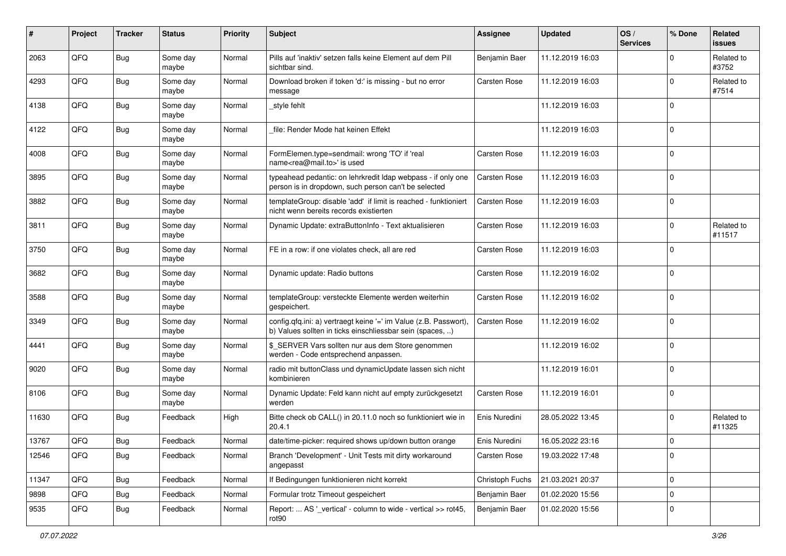| #     | Project | <b>Tracker</b> | <b>Status</b>     | <b>Priority</b> | <b>Subject</b>                                                                                                                | <b>Assignee</b>     | <b>Updated</b>   | OS/<br><b>Services</b> | % Done       | Related<br>issues    |
|-------|---------|----------------|-------------------|-----------------|-------------------------------------------------------------------------------------------------------------------------------|---------------------|------------------|------------------------|--------------|----------------------|
| 2063  | QFQ     | Bug            | Some day<br>maybe | Normal          | Pills auf 'inaktiv' setzen falls keine Element auf dem Pill<br>sichtbar sind.                                                 | Benjamin Baer       | 11.12.2019 16:03 |                        | $\Omega$     | Related to<br>#3752  |
| 4293  | QFQ     | <b>Bug</b>     | Some day<br>maybe | Normal          | Download broken if token 'd:' is missing - but no error<br>message                                                            | <b>Carsten Rose</b> | 11.12.2019 16:03 |                        | $\mathbf 0$  | Related to<br>#7514  |
| 4138  | QFQ     | <b>Bug</b>     | Some day<br>maybe | Normal          | _style fehlt                                                                                                                  |                     | 11.12.2019 16:03 |                        | 0            |                      |
| 4122  | QFQ     | <b>Bug</b>     | Some day<br>maybe | Normal          | file: Render Mode hat keinen Effekt                                                                                           |                     | 11.12.2019 16:03 |                        | $\mathbf 0$  |                      |
| 4008  | QFQ     | Bug            | Some day<br>maybe | Normal          | FormElemen.type=sendmail: wrong 'TO' if 'real<br>name <rea@mail.to>' is used</rea@mail.to>                                    | <b>Carsten Rose</b> | 11.12.2019 16:03 |                        | $\mathbf 0$  |                      |
| 3895  | QFQ     | Bug            | Some day<br>maybe | Normal          | typeahead pedantic: on lehrkredit Idap webpass - if only one<br>person is in dropdown, such person can't be selected          | <b>Carsten Rose</b> | 11.12.2019 16:03 |                        | $\Omega$     |                      |
| 3882  | QFQ     | <b>Bug</b>     | Some day<br>maybe | Normal          | templateGroup: disable 'add' if limit is reached - funktioniert<br>nicht wenn bereits records existierten                     | <b>Carsten Rose</b> | 11.12.2019 16:03 |                        | $\Omega$     |                      |
| 3811  | QFQ     | <b>Bug</b>     | Some day<br>maybe | Normal          | Dynamic Update: extraButtonInfo - Text aktualisieren                                                                          | Carsten Rose        | 11.12.2019 16:03 |                        | $\mathbf 0$  | Related to<br>#11517 |
| 3750  | QFQ     | <b>Bug</b>     | Some day<br>maybe | Normal          | FE in a row: if one violates check, all are red                                                                               | <b>Carsten Rose</b> | 11.12.2019 16:03 |                        | $\mathbf 0$  |                      |
| 3682  | QFQ     | <b>Bug</b>     | Some day<br>maybe | Normal          | Dynamic update: Radio buttons                                                                                                 | <b>Carsten Rose</b> | 11.12.2019 16:02 |                        | $\mathbf 0$  |                      |
| 3588  | QFQ     | <b>Bug</b>     | Some day<br>maybe | Normal          | templateGroup: versteckte Elemente werden weiterhin<br>gespeichert.                                                           | <b>Carsten Rose</b> | 11.12.2019 16:02 |                        | $\mathbf{0}$ |                      |
| 3349  | QFQ     | <b>Bug</b>     | Some day<br>maybe | Normal          | config.qfq.ini: a) vertraegt keine '=' im Value (z.B. Passwort),<br>b) Values sollten in ticks einschliessbar sein (spaces, ) | <b>Carsten Rose</b> | 11.12.2019 16:02 |                        | $\mathbf 0$  |                      |
| 4441  | QFQ     | <b>Bug</b>     | Some day<br>maybe | Normal          | \$ SERVER Vars sollten nur aus dem Store genommen<br>werden - Code entsprechend anpassen.                                     |                     | 11.12.2019 16:02 |                        | $\mathbf 0$  |                      |
| 9020  | QFQ     | <b>Bug</b>     | Some day<br>maybe | Normal          | radio mit buttonClass und dynamicUpdate lassen sich nicht<br>kombinieren                                                      |                     | 11.12.2019 16:01 |                        | $\Omega$     |                      |
| 8106  | QFQ     | Bug            | Some day<br>maybe | Normal          | Dynamic Update: Feld kann nicht auf empty zurückgesetzt<br>werden                                                             | Carsten Rose        | 11.12.2019 16:01 |                        | $\mathbf 0$  |                      |
| 11630 | QFQ     | <b>Bug</b>     | Feedback          | High            | Bitte check ob CALL() in 20.11.0 noch so funktioniert wie in<br>20.4.1                                                        | Enis Nuredini       | 28.05.2022 13:45 |                        | $\mathbf 0$  | Related to<br>#11325 |
| 13767 | QFQ     | <b>Bug</b>     | Feedback          | Normal          | date/time-picker: required shows up/down button orange                                                                        | Enis Nuredini       | 16.05.2022 23:16 |                        | $\Omega$     |                      |
| 12546 | QFQ     | <b>Bug</b>     | Feedback          | Normal          | Branch 'Development' - Unit Tests mit dirty workaround<br>angepasst                                                           | Carsten Rose        | 19.03.2022 17:48 |                        | $\mathbf 0$  |                      |
| 11347 | QFQ     | <b>Bug</b>     | Feedback          | Normal          | If Bedingungen funktionieren nicht korrekt                                                                                    | Christoph Fuchs     | 21.03.2021 20:37 |                        | $\mathbf 0$  |                      |
| 9898  | QFQ     | Bug            | Feedback          | Normal          | Formular trotz Timeout gespeichert                                                                                            | Benjamin Baer       | 01.02.2020 15:56 |                        | 0            |                      |
| 9535  | QFQ     | Bug            | Feedback          | Normal          | Report:  AS '_vertical' - column to wide - vertical >> rot45,<br>rot90                                                        | Benjamin Baer       | 01.02.2020 15:56 |                        | $\mathbf 0$  |                      |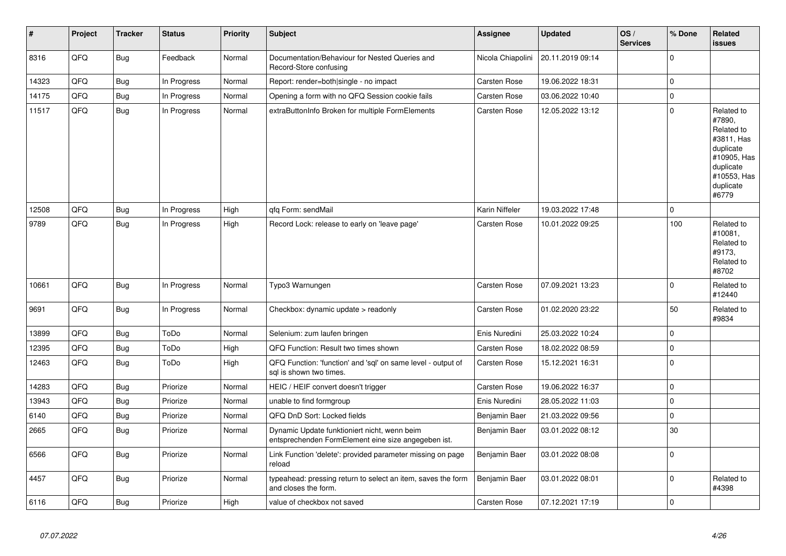| #     | Project | <b>Tracker</b> | <b>Status</b> | <b>Priority</b> | <b>Subject</b>                                                                                      | <b>Assignee</b>     | <b>Updated</b>   | OS/<br><b>Services</b> | % Done              | Related<br><b>issues</b>                                                                                                       |
|-------|---------|----------------|---------------|-----------------|-----------------------------------------------------------------------------------------------------|---------------------|------------------|------------------------|---------------------|--------------------------------------------------------------------------------------------------------------------------------|
| 8316  | QFQ     | <b>Bug</b>     | Feedback      | Normal          | Documentation/Behaviour for Nested Queries and<br>Record-Store confusing                            | Nicola Chiapolini   | 20.11.2019 09:14 |                        | $\mathbf 0$         |                                                                                                                                |
| 14323 | QFQ     | <b>Bug</b>     | In Progress   | Normal          | Report: render=both single - no impact                                                              | <b>Carsten Rose</b> | 19.06.2022 18:31 |                        | $\mathsf{O}\xspace$ |                                                                                                                                |
| 14175 | QFQ     | <b>Bug</b>     | In Progress   | Normal          | Opening a form with no QFQ Session cookie fails                                                     | <b>Carsten Rose</b> | 03.06.2022 10:40 |                        | $\mathbf 0$         |                                                                                                                                |
| 11517 | QFQ     | <b>Bug</b>     | In Progress   | Normal          | extraButtonInfo Broken for multiple FormElements                                                    | Carsten Rose        | 12.05.2022 13:12 |                        | $\mathbf 0$         | Related to<br>#7890,<br>Related to<br>#3811, Has<br>duplicate<br>#10905, Has<br>duplicate<br>#10553, Has<br>duplicate<br>#6779 |
| 12508 | QFQ     | Bug            | In Progress   | High            | gfg Form: sendMail                                                                                  | Karin Niffeler      | 19.03.2022 17:48 |                        | $\mathbf 0$         |                                                                                                                                |
| 9789  | QFQ     | <b>Bug</b>     | In Progress   | High            | Record Lock: release to early on 'leave page'                                                       | Carsten Rose        | 10.01.2022 09:25 |                        | 100                 | Related to<br>#10081,<br>Related to<br>#9173,<br>Related to<br>#8702                                                           |
| 10661 | QFQ     | Bug            | In Progress   | Normal          | Typo3 Warnungen                                                                                     | <b>Carsten Rose</b> | 07.09.2021 13:23 |                        | $\Omega$            | Related to<br>#12440                                                                                                           |
| 9691  | QFQ     | Bug            | In Progress   | Normal          | Checkbox: dynamic update > readonly                                                                 | <b>Carsten Rose</b> | 01.02.2020 23:22 |                        | 50                  | Related to<br>#9834                                                                                                            |
| 13899 | QFQ     | <b>Bug</b>     | ToDo          | Normal          | Selenium: zum laufen bringen                                                                        | Enis Nuredini       | 25.03.2022 10:24 |                        | $\mathbf{0}$        |                                                                                                                                |
| 12395 | QFQ     | <b>Bug</b>     | ToDo          | High            | QFQ Function: Result two times shown                                                                | <b>Carsten Rose</b> | 18.02.2022 08:59 |                        | $\pmb{0}$           |                                                                                                                                |
| 12463 | QFQ     | Bug            | ToDo          | High            | QFQ Function: 'function' and 'sql' on same level - output of<br>sal is shown two times.             | Carsten Rose        | 15.12.2021 16:31 |                        | $\pmb{0}$           |                                                                                                                                |
| 14283 | QFQ     | Bug            | Priorize      | Normal          | HEIC / HEIF convert doesn't trigger                                                                 | Carsten Rose        | 19.06.2022 16:37 |                        | $\pmb{0}$           |                                                                                                                                |
| 13943 | QFQ     | Bug            | Priorize      | Normal          | unable to find formgroup                                                                            | Enis Nuredini       | 28.05.2022 11:03 |                        | $\mathbf 0$         |                                                                                                                                |
| 6140  | QFQ     | <b>Bug</b>     | Priorize      | Normal          | QFQ DnD Sort: Locked fields                                                                         | Benjamin Baer       | 21.03.2022 09:56 |                        | $\mathsf{O}\xspace$ |                                                                                                                                |
| 2665  | QFQ     | <b>Bug</b>     | Priorize      | Normal          | Dynamic Update funktioniert nicht, wenn beim<br>entsprechenden FormElement eine size angegeben ist. | Benjamin Baer       | 03.01.2022 08:12 |                        | 30                  |                                                                                                                                |
| 6566  | QFQ     | <b>Bug</b>     | Priorize      | Normal          | Link Function 'delete': provided parameter missing on page<br>reload                                | Benjamin Baer       | 03.01.2022 08:08 |                        | $\mathbf 0$         |                                                                                                                                |
| 4457  | QFQ     | Bug            | Priorize      | Normal          | typeahead: pressing return to select an item, saves the form<br>and closes the form.                | Benjamin Baer       | 03.01.2022 08:01 |                        | $\pmb{0}$           | Related to<br>#4398                                                                                                            |
| 6116  | QFQ     | Bug            | Priorize      | High            | value of checkbox not saved                                                                         | <b>Carsten Rose</b> | 07.12.2021 17:19 |                        | $\mathbf 0$         |                                                                                                                                |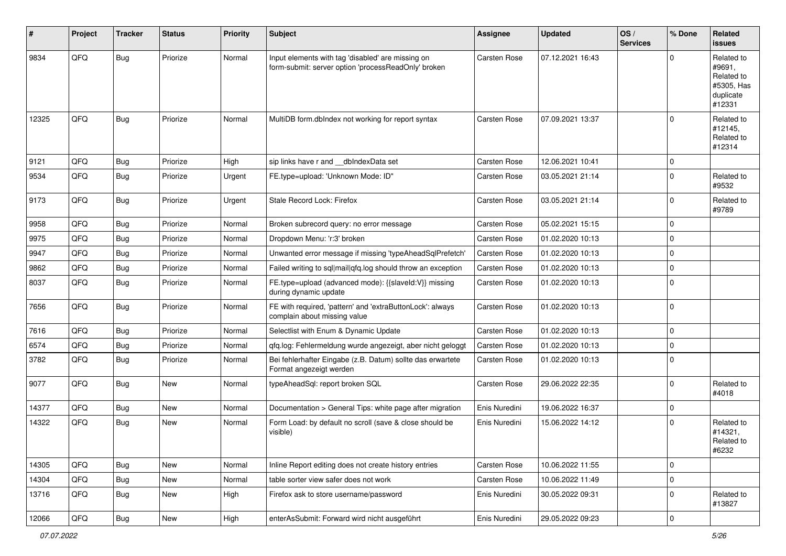| #     | Project | <b>Tracker</b> | <b>Status</b> | <b>Priority</b> | <b>Subject</b>                                                                                           | Assignee            | <b>Updated</b>   | OS/<br><b>Services</b> | % Done         | Related<br>issues                                                       |
|-------|---------|----------------|---------------|-----------------|----------------------------------------------------------------------------------------------------------|---------------------|------------------|------------------------|----------------|-------------------------------------------------------------------------|
| 9834  | QFQ     | Bug            | Priorize      | Normal          | Input elements with tag 'disabled' are missing on<br>form-submit: server option 'processReadOnly' broken | <b>Carsten Rose</b> | 07.12.2021 16:43 |                        | $\mathbf 0$    | Related to<br>#9691,<br>Related to<br>#5305, Has<br>duplicate<br>#12331 |
| 12325 | QFQ     | Bug            | Priorize      | Normal          | MultiDB form.dblndex not working for report syntax                                                       | <b>Carsten Rose</b> | 07.09.2021 13:37 |                        | $\overline{0}$ | Related to<br>#12145,<br>Related to<br>#12314                           |
| 9121  | QFQ     | Bug            | Priorize      | High            | sip links have r and dblndexData set                                                                     | <b>Carsten Rose</b> | 12.06.2021 10:41 |                        | $\mathbf 0$    |                                                                         |
| 9534  | QFQ     | Bug            | Priorize      | Urgent          | FE.type=upload: 'Unknown Mode: ID"                                                                       | <b>Carsten Rose</b> | 03.05.2021 21:14 |                        | $\overline{0}$ | Related to<br>#9532                                                     |
| 9173  | QFQ     | Bug            | Priorize      | Urgent          | Stale Record Lock: Firefox                                                                               | <b>Carsten Rose</b> | 03.05.2021 21:14 |                        | $\overline{0}$ | Related to<br>#9789                                                     |
| 9958  | QFQ     | Bug            | Priorize      | Normal          | Broken subrecord query: no error message                                                                 | Carsten Rose        | 05.02.2021 15:15 |                        | $\overline{0}$ |                                                                         |
| 9975  | QFQ     | <b>Bug</b>     | Priorize      | Normal          | Dropdown Menu: 'r:3' broken                                                                              | <b>Carsten Rose</b> | 01.02.2020 10:13 |                        | $\mathbf 0$    |                                                                         |
| 9947  | QFQ     | Bug            | Priorize      | Normal          | Unwanted error message if missing 'typeAheadSqlPrefetch'                                                 | <b>Carsten Rose</b> | 01.02.2020 10:13 |                        | $\mathbf 0$    |                                                                         |
| 9862  | QFQ     | Bug            | Priorize      | Normal          | Failed writing to sql mail qfq.log should throw an exception                                             | <b>Carsten Rose</b> | 01.02.2020 10:13 |                        | $\mathbf 0$    |                                                                         |
| 8037  | QFQ     | Bug            | Priorize      | Normal          | FE.type=upload (advanced mode): {{slaveId:V}} missing<br>during dynamic update                           | <b>Carsten Rose</b> | 01.02.2020 10:13 |                        | $\overline{0}$ |                                                                         |
| 7656  | QFQ     | <b>Bug</b>     | Priorize      | Normal          | FE with required, 'pattern' and 'extraButtonLock': always<br>complain about missing value                | <b>Carsten Rose</b> | 01.02.2020 10:13 |                        | $\overline{0}$ |                                                                         |
| 7616  | QFQ     | Bug            | Priorize      | Normal          | Selectlist with Enum & Dynamic Update                                                                    | <b>Carsten Rose</b> | 01.02.2020 10:13 |                        | $\overline{0}$ |                                                                         |
| 6574  | QFQ     | <b>Bug</b>     | Priorize      | Normal          | qfq.log: Fehlermeldung wurde angezeigt, aber nicht geloggt                                               | <b>Carsten Rose</b> | 01.02.2020 10:13 |                        | $\overline{0}$ |                                                                         |
| 3782  | QFQ     | Bug            | Priorize      | Normal          | Bei fehlerhafter Eingabe (z.B. Datum) sollte das erwartete<br>Format angezeigt werden                    | <b>Carsten Rose</b> | 01.02.2020 10:13 |                        | $\overline{0}$ |                                                                         |
| 9077  | QFQ     | <b>Bug</b>     | New           | Normal          | typeAheadSql: report broken SQL                                                                          | Carsten Rose        | 29.06.2022 22:35 |                        | $\overline{0}$ | Related to<br>#4018                                                     |
| 14377 | QFQ     | <b>Bug</b>     | New           | Normal          | Documentation > General Tips: white page after migration                                                 | Enis Nuredini       | 19.06.2022 16:37 |                        | $\overline{0}$ |                                                                         |
| 14322 | QFQ     | <b>Bug</b>     | New           | Normal          | Form Load: by default no scroll (save & close should be<br>visible)                                      | Enis Nuredini       | 15.06.2022 14:12 |                        | $\overline{0}$ | Related to<br>#14321,<br>Related to<br>#6232                            |
| 14305 | QFQ     | <b>Bug</b>     | New           | Normal          | Inline Report editing does not create history entries                                                    | Carsten Rose        | 10.06.2022 11:55 |                        | $\overline{0}$ |                                                                         |
| 14304 | QFQ     | <b>Bug</b>     | New           | Normal          | table sorter view safer does not work                                                                    | Carsten Rose        | 10.06.2022 11:49 |                        | $\overline{0}$ |                                                                         |
| 13716 | QFQ     | <b>Bug</b>     | New           | High            | Firefox ask to store username/password                                                                   | Enis Nuredini       | 30.05.2022 09:31 |                        | $\overline{0}$ | Related to<br>#13827                                                    |
| 12066 | QFQ     | <b>Bug</b>     | New           | High            | enterAsSubmit: Forward wird nicht ausgeführt                                                             | Enis Nuredini       | 29.05.2022 09:23 |                        | $\overline{0}$ |                                                                         |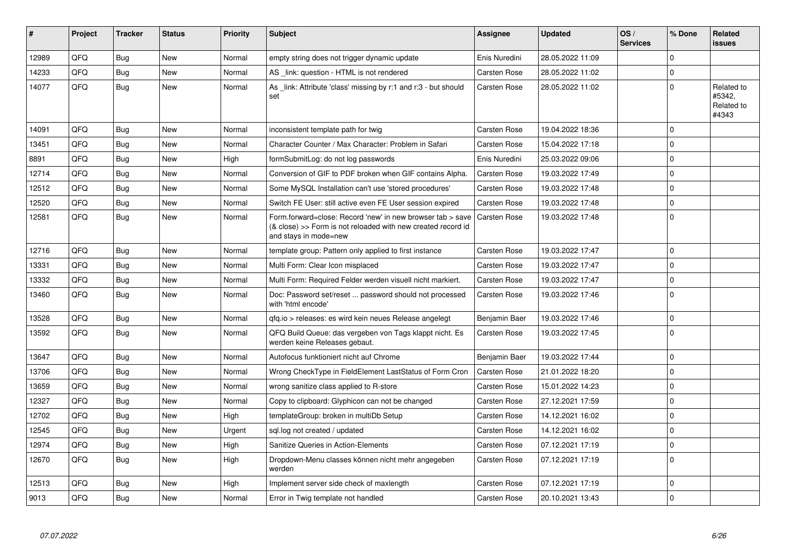| #     | <b>Project</b> | <b>Tracker</b> | <b>Status</b> | <b>Priority</b> | <b>Subject</b>                                                                                                                                      | Assignee            | <b>Updated</b>   | OS/<br><b>Services</b> | % Done      | Related<br>issues                           |
|-------|----------------|----------------|---------------|-----------------|-----------------------------------------------------------------------------------------------------------------------------------------------------|---------------------|------------------|------------------------|-------------|---------------------------------------------|
| 12989 | QFQ            | <b>Bug</b>     | <b>New</b>    | Normal          | empty string does not trigger dynamic update                                                                                                        | Enis Nuredini       | 28.05.2022 11:09 |                        | $\Omega$    |                                             |
| 14233 | QFQ            | Bug            | New           | Normal          | AS link: question - HTML is not rendered                                                                                                            | Carsten Rose        | 28.05.2022 11:02 |                        | $\Omega$    |                                             |
| 14077 | QFQ            | Bug            | New           | Normal          | As _link: Attribute 'class' missing by r:1 and r:3 - but should<br>set                                                                              | <b>Carsten Rose</b> | 28.05.2022 11:02 |                        | $\Omega$    | Related to<br>#5342,<br>Related to<br>#4343 |
| 14091 | QFQ            | Bug            | <b>New</b>    | Normal          | inconsistent template path for twig                                                                                                                 | Carsten Rose        | 19.04.2022 18:36 |                        | $\Omega$    |                                             |
| 13451 | QFQ            | <b>Bug</b>     | New           | Normal          | Character Counter / Max Character: Problem in Safari                                                                                                | <b>Carsten Rose</b> | 15.04.2022 17:18 |                        | $\Omega$    |                                             |
| 8891  | QFQ            | Bug            | New           | High            | formSubmitLog: do not log passwords                                                                                                                 | Enis Nuredini       | 25.03.2022 09:06 |                        | $\Omega$    |                                             |
| 12714 | QFQ            | <b>Bug</b>     | <b>New</b>    | Normal          | Conversion of GIF to PDF broken when GIF contains Alpha.                                                                                            | <b>Carsten Rose</b> | 19.03.2022 17:49 |                        | $\Omega$    |                                             |
| 12512 | QFQ            | Bug            | New           | Normal          | Some MySQL Installation can't use 'stored procedures'                                                                                               | Carsten Rose        | 19.03.2022 17:48 |                        | $\Omega$    |                                             |
| 12520 | QFQ            | Bug            | New           | Normal          | Switch FE User: still active even FE User session expired                                                                                           | <b>Carsten Rose</b> | 19.03.2022 17:48 |                        | $\mathbf 0$ |                                             |
| 12581 | QFQ            | <b>Bug</b>     | New           | Normal          | Form.forward=close: Record 'new' in new browser tab > save<br>(& close) >> Form is not reloaded with new created record id<br>and stays in mode=new | <b>Carsten Rose</b> | 19.03.2022 17:48 |                        | $\Omega$    |                                             |
| 12716 | QFQ            | Bug            | <b>New</b>    | Normal          | template group: Pattern only applied to first instance                                                                                              | <b>Carsten Rose</b> | 19.03.2022 17:47 |                        | $\Omega$    |                                             |
| 13331 | QFQ            | <b>Bug</b>     | New           | Normal          | Multi Form: Clear Icon misplaced                                                                                                                    | Carsten Rose        | 19.03.2022 17:47 |                        | $\Omega$    |                                             |
| 13332 | QFQ            | Bug            | New           | Normal          | Multi Form: Required Felder werden visuell nicht markiert.                                                                                          | <b>Carsten Rose</b> | 19.03.2022 17:47 |                        | $\Omega$    |                                             |
| 13460 | QFQ            | Bug            | New           | Normal          | Doc: Password set/reset  password should not processed<br>with 'html encode'                                                                        | Carsten Rose        | 19.03.2022 17:46 |                        | $\mathbf 0$ |                                             |
| 13528 | QFQ            | Bug            | New           | Normal          | gfg.io > releases: es wird kein neues Release angelegt                                                                                              | Benjamin Baer       | 19.03.2022 17:46 |                        | $\mathbf 0$ |                                             |
| 13592 | QFQ            | <b>Bug</b>     | <b>New</b>    | Normal          | QFQ Build Queue: das vergeben von Tags klappt nicht. Es<br>werden keine Releases gebaut.                                                            | Carsten Rose        | 19.03.2022 17:45 |                        | $\Omega$    |                                             |
| 13647 | QFQ            | Bug            | <b>New</b>    | Normal          | Autofocus funktioniert nicht auf Chrome                                                                                                             | Benjamin Baer       | 19.03.2022 17:44 |                        | $\mathbf 0$ |                                             |
| 13706 | QFQ            | <b>Bug</b>     | New           | Normal          | Wrong CheckType in FieldElement LastStatus of Form Cron                                                                                             | <b>Carsten Rose</b> | 21.01.2022 18:20 |                        | $\Omega$    |                                             |
| 13659 | QFQ            | Bug            | New           | Normal          | wrong sanitize class applied to R-store                                                                                                             | Carsten Rose        | 15.01.2022 14:23 |                        | $\Omega$    |                                             |
| 12327 | QFQ            | <b>Bug</b>     | <b>New</b>    | Normal          | Copy to clipboard: Glyphicon can not be changed                                                                                                     | Carsten Rose        | 27.12.2021 17:59 |                        | $\Omega$    |                                             |
| 12702 | QFQ            | <b>Bug</b>     | <b>New</b>    | High            | templateGroup: broken in multiDb Setup                                                                                                              | <b>Carsten Rose</b> | 14.12.2021 16:02 |                        | $\mathbf 0$ |                                             |
| 12545 | QFQ            | Bug            | <b>New</b>    | Urgent          | sql.log not created / updated                                                                                                                       | Carsten Rose        | 14.12.2021 16:02 |                        | $\Omega$    |                                             |
| 12974 | QFQ            | <b>Bug</b>     | New           | High            | Sanitize Queries in Action-Elements                                                                                                                 | Carsten Rose        | 07.12.2021 17:19 |                        | $\Omega$    |                                             |
| 12670 | QFQ            | Bug            | New           | High            | Dropdown-Menu classes können nicht mehr angegeben<br>werden                                                                                         | Carsten Rose        | 07.12.2021 17:19 |                        | $\Omega$    |                                             |
| 12513 | QFQ            | Bug            | <b>New</b>    | High            | Implement server side check of maxlength                                                                                                            | Carsten Rose        | 07.12.2021 17:19 |                        | $\mathbf 0$ |                                             |
| 9013  | QFQ            | Bug            | New           | Normal          | Error in Twig template not handled                                                                                                                  | <b>Carsten Rose</b> | 20.10.2021 13:43 |                        | $\Omega$    |                                             |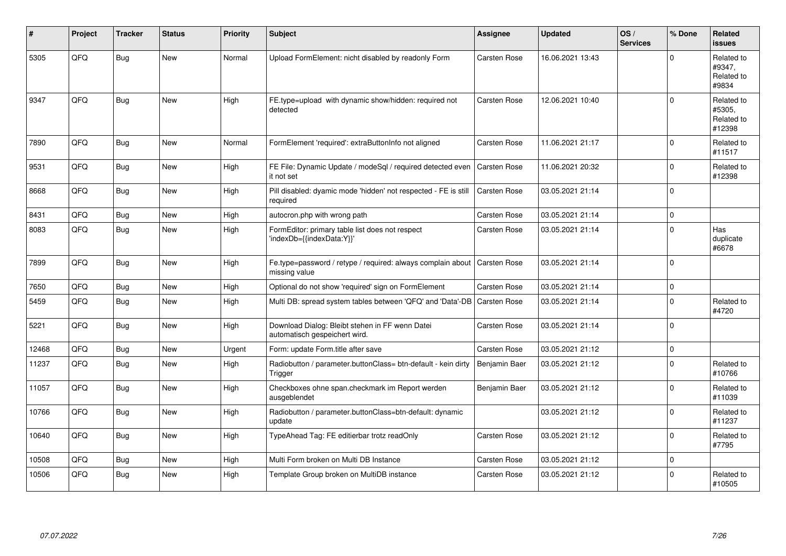| #     | Project | <b>Tracker</b> | <b>Status</b> | <b>Priority</b> | Subject                                                                          | Assignee            | <b>Updated</b>   | OS/<br><b>Services</b> | % Done      | Related<br><b>issues</b>                     |
|-------|---------|----------------|---------------|-----------------|----------------------------------------------------------------------------------|---------------------|------------------|------------------------|-------------|----------------------------------------------|
| 5305  | QFQ     | Bug            | <b>New</b>    | Normal          | Upload FormElement: nicht disabled by readonly Form                              | Carsten Rose        | 16.06.2021 13:43 |                        | $\Omega$    | Related to<br>#9347,<br>Related to<br>#9834  |
| 9347  | QFQ     | Bug            | <b>New</b>    | High            | FE.type=upload with dynamic show/hidden: required not<br>detected                | <b>Carsten Rose</b> | 12.06.2021 10:40 |                        | $\Omega$    | Related to<br>#5305,<br>Related to<br>#12398 |
| 7890  | QFQ     | Bug            | <b>New</b>    | Normal          | FormElement 'required': extraButtonInfo not aligned                              | <b>Carsten Rose</b> | 11.06.2021 21:17 |                        | $\mathbf 0$ | Related to<br>#11517                         |
| 9531  | QFQ     | <b>Bug</b>     | <b>New</b>    | High            | FE File: Dynamic Update / modeSql / required detected even<br>it not set         | <b>Carsten Rose</b> | 11.06.2021 20:32 |                        | $\mathbf 0$ | Related to<br>#12398                         |
| 8668  | QFQ     | <b>Bug</b>     | New           | High            | Pill disabled: dyamic mode 'hidden' not respected - FE is still<br>required      | Carsten Rose        | 03.05.2021 21:14 |                        | $\mathbf 0$ |                                              |
| 8431  | QFQ     | Bug            | New           | High            | autocron.php with wrong path                                                     | <b>Carsten Rose</b> | 03.05.2021 21:14 |                        | $\mathbf 0$ |                                              |
| 8083  | QFQ     | Bug            | <b>New</b>    | High            | FormEditor: primary table list does not respect<br>'indexDb={{indexData:Y}}'     | <b>Carsten Rose</b> | 03.05.2021 21:14 |                        | $\Omega$    | Has<br>duplicate<br>#6678                    |
| 7899  | QFQ     | <b>Bug</b>     | <b>New</b>    | High            | Fe.type=password / retype / required: always complain about<br>missing value     | Carsten Rose        | 03.05.2021 21:14 |                        | $\Omega$    |                                              |
| 7650  | QFQ     | Bug            | <b>New</b>    | High            | Optional do not show 'required' sign on FormElement                              | <b>Carsten Rose</b> | 03.05.2021 21:14 |                        | $\mathbf 0$ |                                              |
| 5459  | QFQ     | Bug            | <b>New</b>    | High            | Multi DB: spread system tables between 'QFQ' and 'Data'-DB   Carsten Rose        |                     | 03.05.2021 21:14 |                        | $\Omega$    | Related to<br>#4720                          |
| 5221  | QFQ     | Bug            | New           | High            | Download Dialog: Bleibt stehen in FF wenn Datei<br>automatisch gespeichert wird. | Carsten Rose        | 03.05.2021 21:14 |                        | $\mathbf 0$ |                                              |
| 12468 | QFQ     | <b>Bug</b>     | <b>New</b>    | Urgent          | Form: update Form.title after save                                               | <b>Carsten Rose</b> | 03.05.2021 21:12 |                        | $\mathbf 0$ |                                              |
| 11237 | QFQ     | Bug            | New           | High            | Radiobutton / parameter.buttonClass= btn-default - kein dirty<br>Trigger         | Benjamin Baer       | 03.05.2021 21:12 |                        | $\Omega$    | Related to<br>#10766                         |
| 11057 | QFQ     | <b>Bug</b>     | <b>New</b>    | High            | Checkboxes ohne span.checkmark im Report werden<br>ausgeblendet                  | Benjamin Baer       | 03.05.2021 21:12 |                        | $\Omega$    | Related to<br>#11039                         |
| 10766 | QFQ     | <b>Bug</b>     | New           | High            | Radiobutton / parameter.buttonClass=btn-default: dynamic<br>update               |                     | 03.05.2021 21:12 |                        | $\Omega$    | Related to<br>#11237                         |
| 10640 | QFQ     | <b>Bug</b>     | New           | High            | TypeAhead Tag: FE editierbar trotz readOnly                                      | <b>Carsten Rose</b> | 03.05.2021 21:12 |                        | $\mathbf 0$ | Related to<br>#7795                          |
| 10508 | QFQ     | Bug            | New           | High            | Multi Form broken on Multi DB Instance                                           | Carsten Rose        | 03.05.2021 21:12 |                        | $\mathbf 0$ |                                              |
| 10506 | QFQ     | <b>Bug</b>     | <b>New</b>    | High            | Template Group broken on MultiDB instance                                        | <b>Carsten Rose</b> | 03.05.2021 21:12 |                        | $\Omega$    | Related to<br>#10505                         |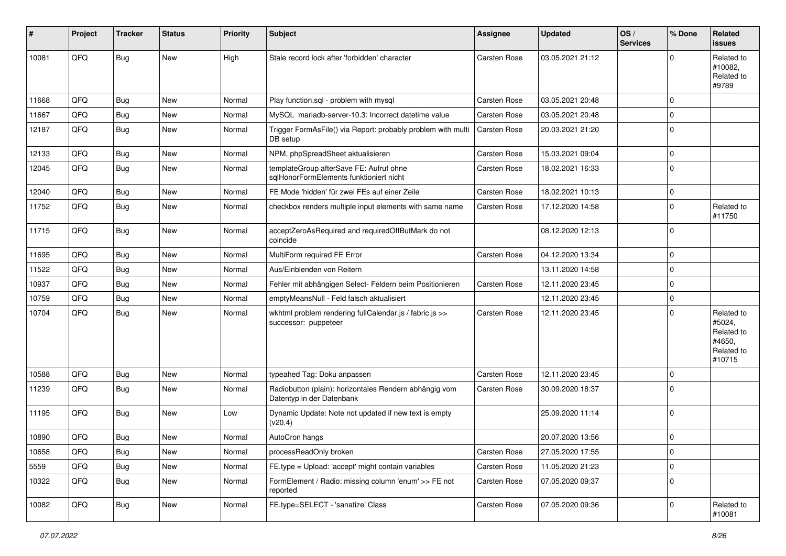| #     | Project | <b>Tracker</b> | <b>Status</b> | <b>Priority</b> | <b>Subject</b>                                                                      | Assignee            | <b>Updated</b>   | OS/<br><b>Services</b> | % Done      | Related<br><b>issues</b>                                             |
|-------|---------|----------------|---------------|-----------------|-------------------------------------------------------------------------------------|---------------------|------------------|------------------------|-------------|----------------------------------------------------------------------|
| 10081 | QFQ     | <b>Bug</b>     | New           | High            | Stale record lock after 'forbidden' character                                       | Carsten Rose        | 03.05.2021 21:12 |                        | 0           | Related to<br>#10082,<br>Related to<br>#9789                         |
| 11668 | QFQ     | <b>Bug</b>     | <b>New</b>    | Normal          | Play function.sql - problem with mysql                                              | <b>Carsten Rose</b> | 03.05.2021 20:48 |                        | $\Omega$    |                                                                      |
| 11667 | QFQ     | <b>Bug</b>     | New           | Normal          | MySQL mariadb-server-10.3: Incorrect datetime value                                 | <b>Carsten Rose</b> | 03.05.2021 20:48 |                        | $\mathbf 0$ |                                                                      |
| 12187 | QFQ     | <b>Bug</b>     | New           | Normal          | Trigger FormAsFile() via Report: probably problem with multi<br>DB setup            | <b>Carsten Rose</b> | 20.03.2021 21:20 |                        | $\Omega$    |                                                                      |
| 12133 | QFQ     | <b>Bug</b>     | <b>New</b>    | Normal          | NPM, phpSpreadSheet aktualisieren                                                   | <b>Carsten Rose</b> | 15.03.2021 09:04 |                        | $\mathbf 0$ |                                                                      |
| 12045 | QFQ     | <b>Bug</b>     | New           | Normal          | templateGroup afterSave FE: Aufruf ohne<br>sqlHonorFormElements funktioniert nicht  | <b>Carsten Rose</b> | 18.02.2021 16:33 |                        | $\Omega$    |                                                                      |
| 12040 | QFQ     | Bug            | New           | Normal          | FE Mode 'hidden' für zwei FEs auf einer Zeile                                       | <b>Carsten Rose</b> | 18.02.2021 10:13 |                        | $\mathbf 0$ |                                                                      |
| 11752 | QFQ     | <b>Bug</b>     | New           | Normal          | checkbox renders multiple input elements with same name                             | <b>Carsten Rose</b> | 17.12.2020 14:58 |                        | 0           | Related to<br>#11750                                                 |
| 11715 | QFQ     | <b>Bug</b>     | New           | Normal          | acceptZeroAsRequired and requiredOffButMark do not<br>coincide                      |                     | 08.12.2020 12:13 |                        | $\Omega$    |                                                                      |
| 11695 | QFQ     | <b>Bug</b>     | New           | Normal          | MultiForm required FE Error                                                         | <b>Carsten Rose</b> | 04.12.2020 13:34 |                        | $\mathbf 0$ |                                                                      |
| 11522 | QFQ     | <b>Bug</b>     | New           | Normal          | Aus/Einblenden von Reitern                                                          |                     | 13.11.2020 14:58 |                        | $\mathbf 0$ |                                                                      |
| 10937 | QFQ     | <b>Bug</b>     | New           | Normal          | Fehler mit abhängigen Select- Feldern beim Positionieren                            | <b>Carsten Rose</b> | 12.11.2020 23:45 |                        | 0           |                                                                      |
| 10759 | QFQ     | <b>Bug</b>     | New           | Normal          | emptyMeansNull - Feld falsch aktualisiert                                           |                     | 12.11.2020 23:45 |                        | $\Omega$    |                                                                      |
| 10704 | QFQ     | <b>Bug</b>     | New           | Normal          | wkhtml problem rendering fullCalendar.js / fabric.js >><br>successor: puppeteer     | <b>Carsten Rose</b> | 12.11.2020 23:45 |                        | 0           | Related to<br>#5024,<br>Related to<br>#4650,<br>Related to<br>#10715 |
| 10588 | QFQ     | <b>Bug</b>     | <b>New</b>    | Normal          | typeahed Tag: Doku anpassen                                                         | Carsten Rose        | 12.11.2020 23:45 |                        | 0           |                                                                      |
| 11239 | QFQ     | Bug            | New           | Normal          | Radiobutton (plain): horizontales Rendern abhängig vom<br>Datentyp in der Datenbank | <b>Carsten Rose</b> | 30.09.2020 18:37 |                        | $\Omega$    |                                                                      |
| 11195 | QFQ     | Bug            | New           | Low             | Dynamic Update: Note not updated if new text is empty<br>(v20.4)                    |                     | 25.09.2020 11:14 |                        | $\Omega$    |                                                                      |
| 10890 | QFQ     | <b>Bug</b>     | New           | Normal          | AutoCron hangs                                                                      |                     | 20.07.2020 13:56 |                        | 0           |                                                                      |
| 10658 | QFQ     | Bug            | New           | Normal          | processReadOnly broken                                                              | Carsten Rose        | 27.05.2020 17:55 |                        | $\mathbf 0$ |                                                                      |
| 5559  | QFQ     | Bug            | New           | Normal          | FE.type = Upload: 'accept' might contain variables                                  | Carsten Rose        | 11.05.2020 21:23 |                        | $\mathbf 0$ |                                                                      |
| 10322 | QFQ     | <b>Bug</b>     | New           | Normal          | FormElement / Radio: missing column 'enum' >> FE not<br>reported                    | Carsten Rose        | 07.05.2020 09:37 |                        | 0           |                                                                      |
| 10082 | QFQ     | Bug            | New           | Normal          | FE.type=SELECT - 'sanatize' Class                                                   | Carsten Rose        | 07.05.2020 09:36 |                        | $\mathbf 0$ | Related to<br>#10081                                                 |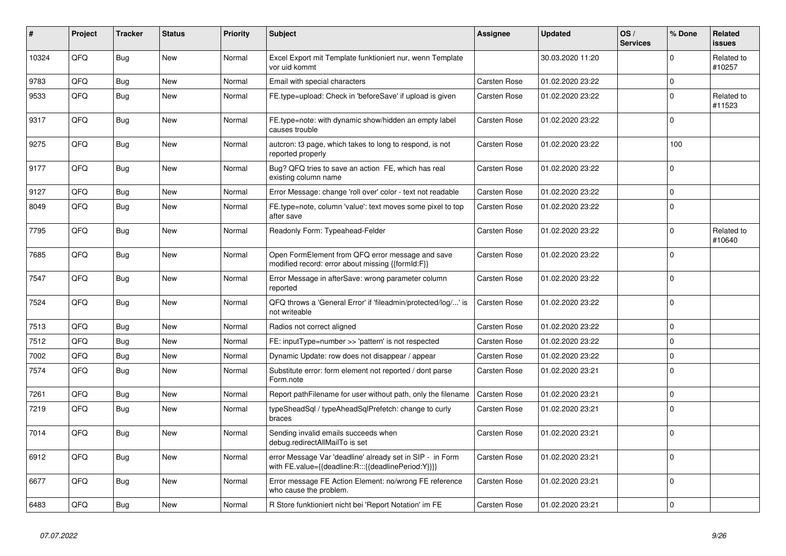| #     | Project | <b>Tracker</b> | <b>Status</b> | <b>Priority</b> | <b>Subject</b>                                                                                                   | Assignee            | <b>Updated</b>   | OS/<br><b>Services</b> | % Done      | Related<br><b>issues</b> |
|-------|---------|----------------|---------------|-----------------|------------------------------------------------------------------------------------------------------------------|---------------------|------------------|------------------------|-------------|--------------------------|
| 10324 | QFQ     | <b>Bug</b>     | <b>New</b>    | Normal          | Excel Export mit Template funktioniert nur, wenn Template<br>vor uid kommt                                       |                     | 30.03.2020 11:20 |                        | $\Omega$    | Related to<br>#10257     |
| 9783  | QFQ     | Bug            | <b>New</b>    | Normal          | Email with special characters                                                                                    | <b>Carsten Rose</b> | 01.02.2020 23:22 |                        | $\mathbf 0$ |                          |
| 9533  | QFQ     | <b>Bug</b>     | <b>New</b>    | Normal          | FE.type=upload: Check in 'beforeSave' if upload is given                                                         | <b>Carsten Rose</b> | 01.02.2020 23:22 |                        | $\Omega$    | Related to<br>#11523     |
| 9317  | QFQ     | Bug            | <b>New</b>    | Normal          | FE.type=note: with dynamic show/hidden an empty label<br>causes trouble                                          | <b>Carsten Rose</b> | 01.02.2020 23:22 |                        | $\mathbf 0$ |                          |
| 9275  | QFQ     | <b>Bug</b>     | New           | Normal          | autcron: t3 page, which takes to long to respond, is not<br>reported properly                                    | Carsten Rose        | 01.02.2020 23:22 |                        | 100         |                          |
| 9177  | QFQ     | Bug            | <b>New</b>    | Normal          | Bug? QFQ tries to save an action FE, which has real<br>existing column name                                      | <b>Carsten Rose</b> | 01.02.2020 23:22 |                        | $\Omega$    |                          |
| 9127  | QFQ     | Bug            | <b>New</b>    | Normal          | Error Message: change 'roll over' color - text not readable                                                      | Carsten Rose        | 01.02.2020 23:22 |                        | $\Omega$    |                          |
| 8049  | QFQ     | Bug            | <b>New</b>    | Normal          | FE.type=note, column 'value': text moves some pixel to top<br>after save                                         | <b>Carsten Rose</b> | 01.02.2020 23:22 |                        | $\mathbf 0$ |                          |
| 7795  | QFQ     | Bug            | <b>New</b>    | Normal          | Readonly Form: Typeahead-Felder                                                                                  | <b>Carsten Rose</b> | 01.02.2020 23:22 |                        | $\Omega$    | Related to<br>#10640     |
| 7685  | QFQ     | Bug            | New           | Normal          | Open FormElement from QFQ error message and save<br>modified record: error about missing {{formId:F}}            | Carsten Rose        | 01.02.2020 23:22 |                        | $\Omega$    |                          |
| 7547  | QFQ     | Bug            | <b>New</b>    | Normal          | Error Message in afterSave: wrong parameter column<br>reported                                                   | <b>Carsten Rose</b> | 01.02.2020 23:22 |                        | $\Omega$    |                          |
| 7524  | QFQ     | <b>Bug</b>     | <b>New</b>    | Normal          | QFQ throws a 'General Error' if 'fileadmin/protected/log/' is<br>not writeable                                   | <b>Carsten Rose</b> | 01.02.2020 23:22 |                        | $\Omega$    |                          |
| 7513  | QFQ     | Bug            | <b>New</b>    | Normal          | Radios not correct aligned                                                                                       | <b>Carsten Rose</b> | 01.02.2020 23:22 |                        | $\mathbf 0$ |                          |
| 7512  | QFQ     | <b>Bug</b>     | <b>New</b>    | Normal          | FE: inputType=number >> 'pattern' is not respected                                                               | <b>Carsten Rose</b> | 01.02.2020 23:22 |                        | $\Omega$    |                          |
| 7002  | QFQ     | Bug            | <b>New</b>    | Normal          | Dynamic Update: row does not disappear / appear                                                                  | Carsten Rose        | 01.02.2020 23:22 |                        | $\Omega$    |                          |
| 7574  | QFQ     | Bug            | New           | Normal          | Substitute error: form element not reported / dont parse<br>Form.note                                            | <b>Carsten Rose</b> | 01.02.2020 23:21 |                        | $\Omega$    |                          |
| 7261  | QFQ     | <b>Bug</b>     | <b>New</b>    | Normal          | Report pathFilename for user without path, only the filename                                                     | <b>Carsten Rose</b> | 01.02.2020 23:21 |                        | $\Omega$    |                          |
| 7219  | QFQ     | <b>Bug</b>     | <b>New</b>    | Normal          | typeSheadSql / typeAheadSqlPrefetch: change to curly<br>braces                                                   | Carsten Rose        | 01.02.2020 23:21 |                        | $\Omega$    |                          |
| 7014  | QFQ     | <b>Bug</b>     | <b>New</b>    | Normal          | Sending invalid emails succeeds when<br>debug.redirectAllMailTo is set                                           | <b>Carsten Rose</b> | 01.02.2020 23:21 |                        | $\Omega$    |                          |
| 6912  | QFQ     | <b>Bug</b>     | <b>New</b>    | Normal          | error Message Var 'deadline' already set in SIP - in Form<br>with FE.value={{deadline:R:::{{deadlinePeriod:Y}}}} | <b>Carsten Rose</b> | 01.02.2020 23:21 |                        | $\Omega$    |                          |
| 6677  | QFQ     | <b>Bug</b>     | <b>New</b>    | Normal          | Error message FE Action Element: no/wrong FE reference<br>who cause the problem.                                 | Carsten Rose        | 01.02.2020 23:21 |                        | $\Omega$    |                          |
| 6483  | QFQ     | Bug            | <b>New</b>    | Normal          | R Store funktioniert nicht bei 'Report Notation' im FE                                                           | <b>Carsten Rose</b> | 01.02.2020 23:21 |                        | $\Omega$    |                          |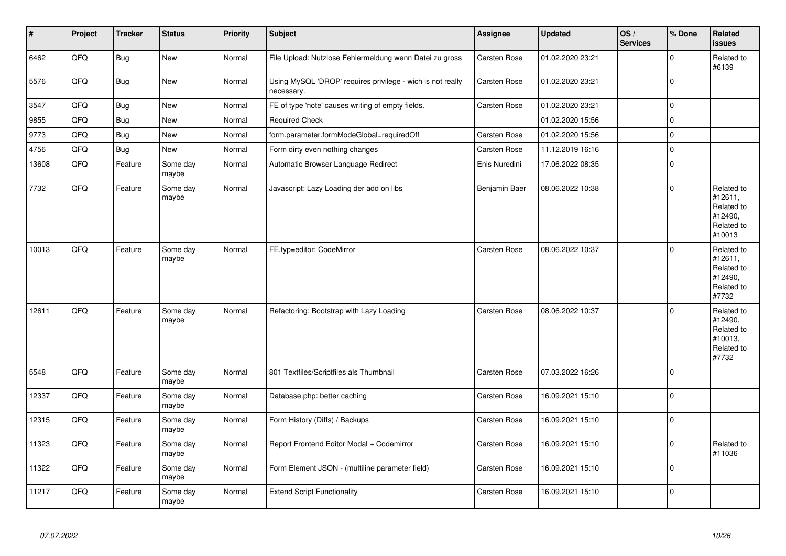| $\vert$ # | Project | <b>Tracker</b> | <b>Status</b>     | <b>Priority</b> | <b>Subject</b>                                                           | <b>Assignee</b>     | <b>Updated</b>   | OS/<br><b>Services</b> | % Done         | Related<br><b>issues</b>                                               |
|-----------|---------|----------------|-------------------|-----------------|--------------------------------------------------------------------------|---------------------|------------------|------------------------|----------------|------------------------------------------------------------------------|
| 6462      | QFQ     | <b>Bug</b>     | <b>New</b>        | Normal          | File Upload: Nutzlose Fehlermeldung wenn Datei zu gross                  | <b>Carsten Rose</b> | 01.02.2020 23:21 |                        | $\Omega$       | Related to<br>#6139                                                    |
| 5576      | QFQ     | <b>Bug</b>     | <b>New</b>        | Normal          | Using MySQL 'DROP' requires privilege - wich is not really<br>necessary. | <b>Carsten Rose</b> | 01.02.2020 23:21 |                        | $\Omega$       |                                                                        |
| 3547      | QFQ     | <b>Bug</b>     | New               | Normal          | FE of type 'note' causes writing of empty fields.                        | <b>Carsten Rose</b> | 01.02.2020 23:21 |                        | $\overline{0}$ |                                                                        |
| 9855      | QFQ     | <b>Bug</b>     | <b>New</b>        | Normal          | <b>Required Check</b>                                                    |                     | 01.02.2020 15:56 |                        | $\Omega$       |                                                                        |
| 9773      | QFQ     | <b>Bug</b>     | New               | Normal          | form.parameter.formModeGlobal=requiredOff                                | <b>Carsten Rose</b> | 01.02.2020 15:56 |                        | $\overline{0}$ |                                                                        |
| 4756      | QFQ     | <b>Bug</b>     | <b>New</b>        | Normal          | Form dirty even nothing changes                                          | Carsten Rose        | 11.12.2019 16:16 |                        | $\mathbf 0$    |                                                                        |
| 13608     | QFQ     | Feature        | Some day<br>maybe | Normal          | Automatic Browser Language Redirect                                      | Enis Nuredini       | 17.06.2022 08:35 |                        | $\mathbf 0$    |                                                                        |
| 7732      | QFQ     | Feature        | Some day<br>maybe | Normal          | Javascript: Lazy Loading der add on libs                                 | Benjamin Baer       | 08.06.2022 10:38 |                        | $\Omega$       | Related to<br>#12611,<br>Related to<br>#12490,<br>Related to<br>#10013 |
| 10013     | QFQ     | Feature        | Some day<br>maybe | Normal          | FE.typ=editor: CodeMirror                                                | <b>Carsten Rose</b> | 08.06.2022 10:37 |                        | $\Omega$       | Related to<br>#12611,<br>Related to<br>#12490,<br>Related to<br>#7732  |
| 12611     | QFQ     | Feature        | Some day<br>maybe | Normal          | Refactoring: Bootstrap with Lazy Loading                                 | Carsten Rose        | 08.06.2022 10:37 |                        | $\Omega$       | Related to<br>#12490,<br>Related to<br>#10013,<br>Related to<br>#7732  |
| 5548      | QFQ     | Feature        | Some day<br>maybe | Normal          | 801 Textfiles/Scriptfiles als Thumbnail                                  | Carsten Rose        | 07.03.2022 16:26 |                        | $\Omega$       |                                                                        |
| 12337     | QFQ     | Feature        | Some day<br>maybe | Normal          | Database.php: better caching                                             | Carsten Rose        | 16.09.2021 15:10 |                        | $\Omega$       |                                                                        |
| 12315     | QFQ     | Feature        | Some day<br>maybe | Normal          | Form History (Diffs) / Backups                                           | Carsten Rose        | 16.09.2021 15:10 |                        | $\Omega$       |                                                                        |
| 11323     | QFQ     | Feature        | Some day<br>maybe | Normal          | Report Frontend Editor Modal + Codemirror                                | <b>Carsten Rose</b> | 16.09.2021 15:10 |                        | $\Omega$       | Related to<br>#11036                                                   |
| 11322     | QFQ     | Feature        | Some day<br>maybe | Normal          | Form Element JSON - (multiline parameter field)                          | Carsten Rose        | 16.09.2021 15:10 |                        | $\Omega$       |                                                                        |
| 11217     | QFQ     | Feature        | Some day<br>maybe | Normal          | <b>Extend Script Functionality</b>                                       | Carsten Rose        | 16.09.2021 15:10 |                        | $\overline{0}$ |                                                                        |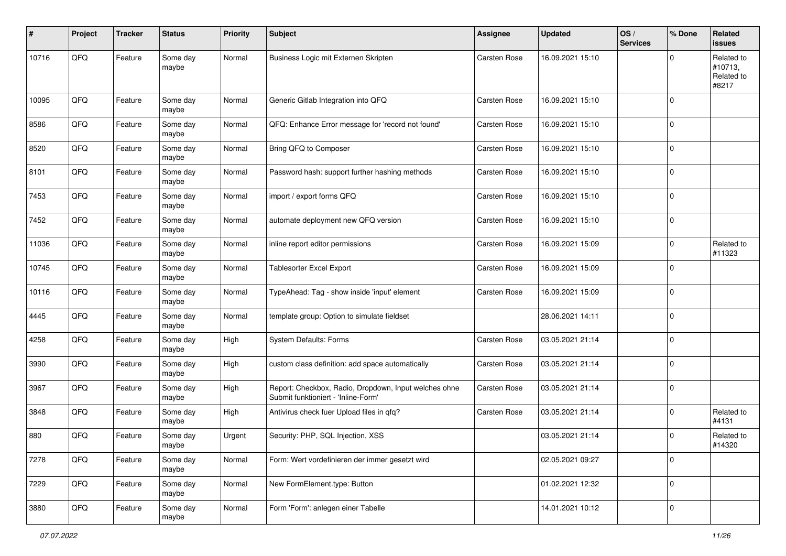| #     | Project | <b>Tracker</b> | <b>Status</b>     | <b>Priority</b> | <b>Subject</b>                                                                               | <b>Assignee</b>     | <b>Updated</b>   | OS/<br><b>Services</b> | % Done      | Related<br>issues                            |
|-------|---------|----------------|-------------------|-----------------|----------------------------------------------------------------------------------------------|---------------------|------------------|------------------------|-------------|----------------------------------------------|
| 10716 | QFQ     | Feature        | Some day<br>maybe | Normal          | Business Logic mit Externen Skripten                                                         | Carsten Rose        | 16.09.2021 15:10 |                        | $\Omega$    | Related to<br>#10713,<br>Related to<br>#8217 |
| 10095 | QFQ     | Feature        | Some day<br>maybe | Normal          | Generic Gitlab Integration into QFQ                                                          | <b>Carsten Rose</b> | 16.09.2021 15:10 |                        | $\Omega$    |                                              |
| 8586  | QFQ     | Feature        | Some day<br>maybe | Normal          | QFQ: Enhance Error message for 'record not found'                                            | <b>Carsten Rose</b> | 16.09.2021 15:10 |                        | $\mathbf 0$ |                                              |
| 8520  | QFQ     | Feature        | Some day<br>maybe | Normal          | Bring QFQ to Composer                                                                        | <b>Carsten Rose</b> | 16.09.2021 15:10 |                        | l 0         |                                              |
| 8101  | QFQ     | Feature        | Some day<br>maybe | Normal          | Password hash: support further hashing methods                                               | <b>Carsten Rose</b> | 16.09.2021 15:10 |                        | $\mathbf 0$ |                                              |
| 7453  | QFQ     | Feature        | Some day<br>maybe | Normal          | import / export forms QFQ                                                                    | Carsten Rose        | 16.09.2021 15:10 |                        | $\mathbf 0$ |                                              |
| 7452  | QFQ     | Feature        | Some day<br>maybe | Normal          | automate deployment new QFQ version                                                          | <b>Carsten Rose</b> | 16.09.2021 15:10 |                        | $\mathbf 0$ |                                              |
| 11036 | QFQ     | Feature        | Some day<br>maybe | Normal          | inline report editor permissions                                                             | <b>Carsten Rose</b> | 16.09.2021 15:09 |                        | $\mathbf 0$ | Related to<br>#11323                         |
| 10745 | QFQ     | Feature        | Some day<br>maybe | Normal          | <b>Tablesorter Excel Export</b>                                                              | <b>Carsten Rose</b> | 16.09.2021 15:09 |                        | $\Omega$    |                                              |
| 10116 | QFQ     | Feature        | Some day<br>maybe | Normal          | TypeAhead: Tag - show inside 'input' element                                                 | <b>Carsten Rose</b> | 16.09.2021 15:09 |                        | $\mathbf 0$ |                                              |
| 4445  | QFQ     | Feature        | Some day<br>maybe | Normal          | template group: Option to simulate fieldset                                                  |                     | 28.06.2021 14:11 |                        | l 0         |                                              |
| 4258  | QFQ     | Feature        | Some day<br>maybe | High            | <b>System Defaults: Forms</b>                                                                | Carsten Rose        | 03.05.2021 21:14 |                        | $\Omega$    |                                              |
| 3990  | QFQ     | Feature        | Some day<br>maybe | High            | custom class definition: add space automatically                                             | Carsten Rose        | 03.05.2021 21:14 |                        | $\mathbf 0$ |                                              |
| 3967  | QFQ     | Feature        | Some day<br>maybe | High            | Report: Checkbox, Radio, Dropdown, Input welches ohne<br>Submit funktioniert - 'Inline-Form' | <b>Carsten Rose</b> | 03.05.2021 21:14 |                        | $\mathbf 0$ |                                              |
| 3848  | QFQ     | Feature        | Some day<br>maybe | High            | Antivirus check fuer Upload files in qfq?                                                    | Carsten Rose        | 03.05.2021 21:14 |                        | $\mathbf 0$ | Related to<br>#4131                          |
| 880   | QFQ     | Feature        | Some day<br>maybe | Urgent          | Security: PHP, SQL Injection, XSS                                                            |                     | 03.05.2021 21:14 |                        | $\Omega$    | Related to<br>#14320                         |
| 7278  | QFQ     | Feature        | Some day<br>maybe | Normal          | Form: Wert vordefinieren der immer gesetzt wird                                              |                     | 02.05.2021 09:27 |                        | $\mathbf 0$ |                                              |
| 7229  | QFQ     | Feature        | Some day<br>maybe | Normal          | New FormElement.type: Button                                                                 |                     | 01.02.2021 12:32 |                        | 0           |                                              |
| 3880  | QFG     | Feature        | Some day<br>maybe | Normal          | Form 'Form': anlegen einer Tabelle                                                           |                     | 14.01.2021 10:12 |                        | 0           |                                              |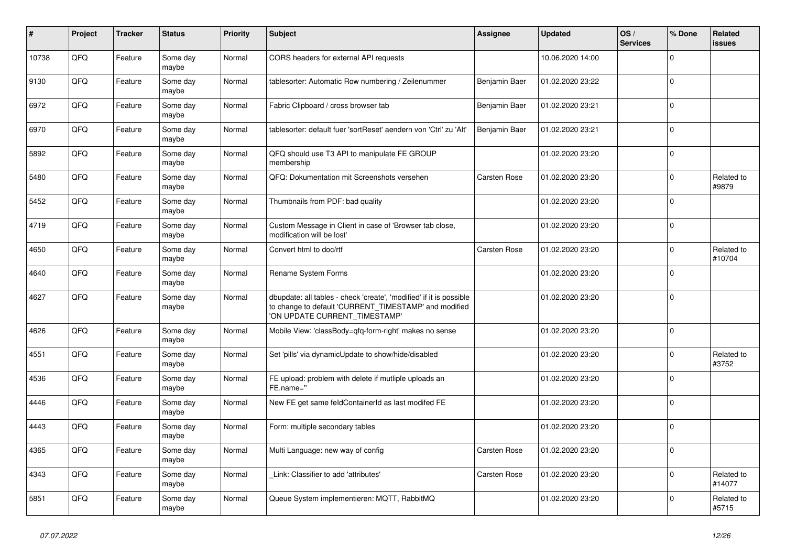| #     | Project | <b>Tracker</b> | <b>Status</b>     | <b>Priority</b> | <b>Subject</b>                                                                                                                                                | <b>Assignee</b>     | <b>Updated</b>   | OS/<br><b>Services</b> | % Done       | Related<br><b>issues</b> |
|-------|---------|----------------|-------------------|-----------------|---------------------------------------------------------------------------------------------------------------------------------------------------------------|---------------------|------------------|------------------------|--------------|--------------------------|
| 10738 | QFQ     | Feature        | Some day<br>maybe | Normal          | CORS headers for external API requests                                                                                                                        |                     | 10.06.2020 14:00 |                        | $\Omega$     |                          |
| 9130  | QFQ     | Feature        | Some day<br>maybe | Normal          | tablesorter: Automatic Row numbering / Zeilenummer                                                                                                            | Benjamin Baer       | 01.02.2020 23:22 |                        | $\Omega$     |                          |
| 6972  | QFQ     | Feature        | Some day<br>maybe | Normal          | Fabric Clipboard / cross browser tab                                                                                                                          | Benjamin Baer       | 01.02.2020 23:21 |                        | $\Omega$     |                          |
| 6970  | QFQ     | Feature        | Some day<br>maybe | Normal          | tablesorter: default fuer 'sortReset' aendern von 'Ctrl' zu 'Alt'                                                                                             | Benjamin Baer       | 01.02.2020 23:21 |                        | $\Omega$     |                          |
| 5892  | QFQ     | Feature        | Some day<br>maybe | Normal          | QFQ should use T3 API to manipulate FE GROUP<br>membership                                                                                                    |                     | 01.02.2020 23:20 |                        | $\mathbf 0$  |                          |
| 5480  | QFQ     | Feature        | Some day<br>maybe | Normal          | QFQ: Dokumentation mit Screenshots versehen                                                                                                                   | <b>Carsten Rose</b> | 01.02.2020 23:20 |                        | $\Omega$     | Related to<br>#9879      |
| 5452  | QFQ     | Feature        | Some day<br>maybe | Normal          | Thumbnails from PDF: bad quality                                                                                                                              |                     | 01.02.2020 23:20 |                        | $\Omega$     |                          |
| 4719  | QFQ     | Feature        | Some day<br>maybe | Normal          | Custom Message in Client in case of 'Browser tab close,<br>modification will be lost'                                                                         |                     | 01.02.2020 23:20 |                        | 0            |                          |
| 4650  | QFQ     | Feature        | Some day<br>maybe | Normal          | Convert html to doc/rtf                                                                                                                                       | <b>Carsten Rose</b> | 01.02.2020 23:20 |                        | <sup>0</sup> | Related to<br>#10704     |
| 4640  | QFQ     | Feature        | Some day<br>maybe | Normal          | Rename System Forms                                                                                                                                           |                     | 01.02.2020 23:20 |                        | $\Omega$     |                          |
| 4627  | QFQ     | Feature        | Some day<br>maybe | Normal          | dbupdate: all tables - check 'create', 'modified' if it is possible<br>to change to default 'CURRENT_TIMESTAMP' and modified<br>'ON UPDATE CURRENT TIMESTAMP' |                     | 01.02.2020 23:20 |                        | $\Omega$     |                          |
| 4626  | QFQ     | Feature        | Some day<br>maybe | Normal          | Mobile View: 'classBody=qfq-form-right' makes no sense                                                                                                        |                     | 01.02.2020 23:20 |                        | $\Omega$     |                          |
| 4551  | QFQ     | Feature        | Some day<br>maybe | Normal          | Set 'pills' via dynamicUpdate to show/hide/disabled                                                                                                           |                     | 01.02.2020 23:20 |                        | $\Omega$     | Related to<br>#3752      |
| 4536  | QFQ     | Feature        | Some day<br>maybe | Normal          | FE upload: problem with delete if mutliple uploads an<br>FE.name="                                                                                            |                     | 01.02.2020 23:20 |                        | $\Omega$     |                          |
| 4446  | QFQ     | Feature        | Some day<br>maybe | Normal          | New FE get same feldContainerId as last modifed FE                                                                                                            |                     | 01.02.2020 23:20 |                        | $\mathbf 0$  |                          |
| 4443  | QFQ     | Feature        | Some day<br>maybe | Normal          | Form: multiple secondary tables                                                                                                                               |                     | 01.02.2020 23:20 |                        | $\Omega$     |                          |
| 4365  | QFQ     | Feature        | Some day<br>maybe | Normal          | Multi Language: new way of config                                                                                                                             | <b>Carsten Rose</b> | 01.02.2020 23:20 |                        | $\Omega$     |                          |
| 4343  | QFQ     | Feature        | Some day<br>maybe | Normal          | Link: Classifier to add 'attributes'                                                                                                                          | Carsten Rose        | 01.02.2020 23:20 |                        | $\Omega$     | Related to<br>#14077     |
| 5851  | QFQ     | Feature        | Some day<br>maybe | Normal          | Queue System implementieren: MQTT, RabbitMQ                                                                                                                   |                     | 01.02.2020 23:20 |                        | $\Omega$     | Related to<br>#5715      |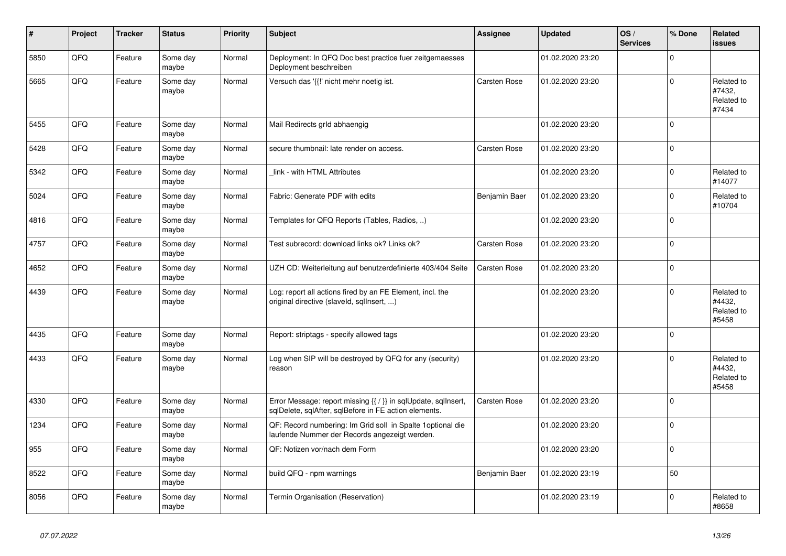| $\vert$ # | Project | <b>Tracker</b> | <b>Status</b>     | <b>Priority</b> | <b>Subject</b>                                                                                                          | Assignee            | <b>Updated</b>   | OS/<br><b>Services</b> | % Done       | Related<br><b>issues</b>                    |
|-----------|---------|----------------|-------------------|-----------------|-------------------------------------------------------------------------------------------------------------------------|---------------------|------------------|------------------------|--------------|---------------------------------------------|
| 5850      | QFQ     | Feature        | Some day<br>maybe | Normal          | Deployment: In QFQ Doc best practice fuer zeitgemaesses<br>Deployment beschreiben                                       |                     | 01.02.2020 23:20 |                        | $\Omega$     |                                             |
| 5665      | QFQ     | Feature        | Some day<br>maybe | Normal          | Versuch das '{{!' nicht mehr noetig ist.                                                                                | <b>Carsten Rose</b> | 01.02.2020 23:20 |                        | 0            | Related to<br>#7432,<br>Related to<br>#7434 |
| 5455      | QFQ     | Feature        | Some day<br>maybe | Normal          | Mail Redirects grld abhaengig                                                                                           |                     | 01.02.2020 23:20 |                        | $\Omega$     |                                             |
| 5428      | QFQ     | Feature        | Some day<br>maybe | Normal          | secure thumbnail: late render on access.                                                                                | <b>Carsten Rose</b> | 01.02.2020 23:20 |                        | $\Omega$     |                                             |
| 5342      | QFQ     | Feature        | Some day<br>maybe | Normal          | link - with HTML Attributes                                                                                             |                     | 01.02.2020 23:20 |                        | $\Omega$     | Related to<br>#14077                        |
| 5024      | QFQ     | Feature        | Some day<br>maybe | Normal          | Fabric: Generate PDF with edits                                                                                         | Benjamin Baer       | 01.02.2020 23:20 |                        | <sup>0</sup> | Related to<br>#10704                        |
| 4816      | QFQ     | Feature        | Some day<br>maybe | Normal          | Templates for QFQ Reports (Tables, Radios, )                                                                            |                     | 01.02.2020 23:20 |                        | $\Omega$     |                                             |
| 4757      | QFQ     | Feature        | Some day<br>maybe | Normal          | Test subrecord: download links ok? Links ok?                                                                            | <b>Carsten Rose</b> | 01.02.2020 23:20 |                        | 0            |                                             |
| 4652      | QFQ     | Feature        | Some day<br>maybe | Normal          | UZH CD: Weiterleitung auf benutzerdefinierte 403/404 Seite                                                              | <b>Carsten Rose</b> | 01.02.2020 23:20 |                        | $\Omega$     |                                             |
| 4439      | QFQ     | Feature        | Some day<br>maybe | Normal          | Log: report all actions fired by an FE Element, incl. the<br>original directive (slaveld, sqllnsert, )                  |                     | 01.02.2020 23:20 |                        | $\Omega$     | Related to<br>#4432.<br>Related to<br>#5458 |
| 4435      | QFQ     | Feature        | Some day<br>maybe | Normal          | Report: striptags - specify allowed tags                                                                                |                     | 01.02.2020 23:20 |                        | $\Omega$     |                                             |
| 4433      | QFQ     | Feature        | Some day<br>maybe | Normal          | Log when SIP will be destroyed by QFQ for any (security)<br>reason                                                      |                     | 01.02.2020 23:20 |                        | $\Omega$     | Related to<br>#4432,<br>Related to<br>#5458 |
| 4330      | QFQ     | Feature        | Some day<br>maybe | Normal          | Error Message: report missing {{ / }} in sqlUpdate, sqlInsert,<br>sqlDelete, sqlAfter, sqlBefore in FE action elements. | <b>Carsten Rose</b> | 01.02.2020 23:20 |                        | $\mathbf 0$  |                                             |
| 1234      | QFQ     | Feature        | Some day<br>maybe | Normal          | QF: Record numbering: Im Grid soll in Spalte 1 optional die<br>laufende Nummer der Records angezeigt werden.            |                     | 01.02.2020 23:20 |                        | $\Omega$     |                                             |
| 955       | QFQ     | Feature        | Some day<br>maybe | Normal          | QF: Notizen vor/nach dem Form                                                                                           |                     | 01.02.2020 23:20 |                        | $\Omega$     |                                             |
| 8522      | QFQ     | Feature        | Some day<br>maybe | Normal          | build QFQ - npm warnings                                                                                                | Benjamin Baer       | 01.02.2020 23:19 |                        | 50           |                                             |
| 8056      | QFQ     | Feature        | Some day<br>maybe | Normal          | Termin Organisation (Reservation)                                                                                       |                     | 01.02.2020 23:19 |                        | $\Omega$     | Related to<br>#8658                         |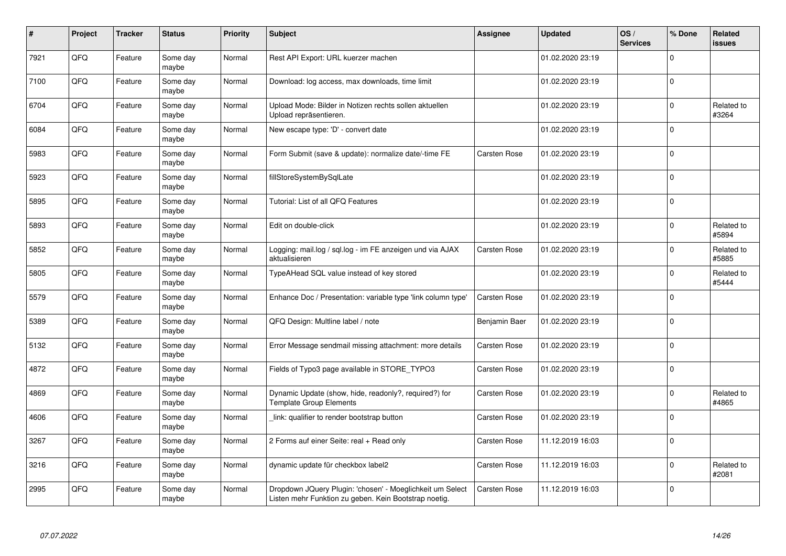| #    | Project | <b>Tracker</b> | <b>Status</b>     | <b>Priority</b> | <b>Subject</b>                                                                                                     | Assignee            | <b>Updated</b>   | OS/<br><b>Services</b> | % Done       | Related<br><b>issues</b> |
|------|---------|----------------|-------------------|-----------------|--------------------------------------------------------------------------------------------------------------------|---------------------|------------------|------------------------|--------------|--------------------------|
| 7921 | QFQ     | Feature        | Some day<br>maybe | Normal          | Rest API Export: URL kuerzer machen                                                                                |                     | 01.02.2020 23:19 |                        | $\Omega$     |                          |
| 7100 | QFQ     | Feature        | Some day<br>maybe | Normal          | Download: log access, max downloads, time limit                                                                    |                     | 01.02.2020 23:19 |                        | $\Omega$     |                          |
| 6704 | QFQ     | Feature        | Some day<br>maybe | Normal          | Upload Mode: Bilder in Notizen rechts sollen aktuellen<br>Upload repräsentieren.                                   |                     | 01.02.2020 23:19 |                        | $\Omega$     | Related to<br>#3264      |
| 6084 | QFQ     | Feature        | Some day<br>maybe | Normal          | New escape type: 'D' - convert date                                                                                |                     | 01.02.2020 23:19 |                        | $\Omega$     |                          |
| 5983 | QFQ     | Feature        | Some day<br>maybe | Normal          | Form Submit (save & update): normalize date/-time FE                                                               | <b>Carsten Rose</b> | 01.02.2020 23:19 |                        | $\mathbf 0$  |                          |
| 5923 | QFQ     | Feature        | Some day<br>maybe | Normal          | fillStoreSystemBySqlLate                                                                                           |                     | 01.02.2020 23:19 |                        | $\Omega$     |                          |
| 5895 | QFQ     | Feature        | Some day<br>maybe | Normal          | Tutorial: List of all QFQ Features                                                                                 |                     | 01.02.2020 23:19 |                        | $\Omega$     |                          |
| 5893 | QFQ     | Feature        | Some day<br>maybe | Normal          | Edit on double-click                                                                                               |                     | 01.02.2020 23:19 |                        | $\Omega$     | Related to<br>#5894      |
| 5852 | QFQ     | Feature        | Some day<br>maybe | Normal          | Logging: mail.log / sql.log - im FE anzeigen und via AJAX<br>aktualisieren                                         | <b>Carsten Rose</b> | 01.02.2020 23:19 |                        | $\mathbf{0}$ | Related to<br>#5885      |
| 5805 | QFQ     | Feature        | Some day<br>maybe | Normal          | TypeAHead SQL value instead of key stored                                                                          |                     | 01.02.2020 23:19 |                        | $\Omega$     | Related to<br>#5444      |
| 5579 | QFQ     | Feature        | Some day<br>maybe | Normal          | Enhance Doc / Presentation: variable type 'link column type'                                                       | Carsten Rose        | 01.02.2020 23:19 |                        | $\mathbf{0}$ |                          |
| 5389 | QFQ     | Feature        | Some day<br>maybe | Normal          | QFQ Design: Multline label / note                                                                                  | Benjamin Baer       | 01.02.2020 23:19 |                        | $\mathbf 0$  |                          |
| 5132 | QFQ     | Feature        | Some day<br>maybe | Normal          | Error Message sendmail missing attachment: more details                                                            | Carsten Rose        | 01.02.2020 23:19 |                        | $\mathbf{0}$ |                          |
| 4872 | QFQ     | Feature        | Some day<br>maybe | Normal          | Fields of Typo3 page available in STORE TYPO3                                                                      | Carsten Rose        | 01.02.2020 23:19 |                        | $\mathbf 0$  |                          |
| 4869 | QFQ     | Feature        | Some day<br>maybe | Normal          | Dynamic Update (show, hide, readonly?, required?) for<br><b>Template Group Elements</b>                            | Carsten Rose        | 01.02.2020 23:19 |                        | $\Omega$     | Related to<br>#4865      |
| 4606 | QFQ     | Feature        | Some day<br>maybe | Normal          | link: qualifier to render bootstrap button                                                                         | Carsten Rose        | 01.02.2020 23:19 |                        | $\Omega$     |                          |
| 3267 | QFQ     | Feature        | Some day<br>maybe | Normal          | 2 Forms auf einer Seite: real + Read only                                                                          | <b>Carsten Rose</b> | 11.12.2019 16:03 |                        | $\Omega$     |                          |
| 3216 | QFG     | Feature        | Some day<br>maybe | Normal          | dynamic update für checkbox label2                                                                                 | Carsten Rose        | 11.12.2019 16:03 |                        | $\mathbf 0$  | Related to<br>#2081      |
| 2995 | QFQ     | Feature        | Some day<br>maybe | Normal          | Dropdown JQuery Plugin: 'chosen' - Moeglichkeit um Select<br>Listen mehr Funktion zu geben. Kein Bootstrap noetig. | <b>Carsten Rose</b> | 11.12.2019 16:03 |                        | $\Omega$     |                          |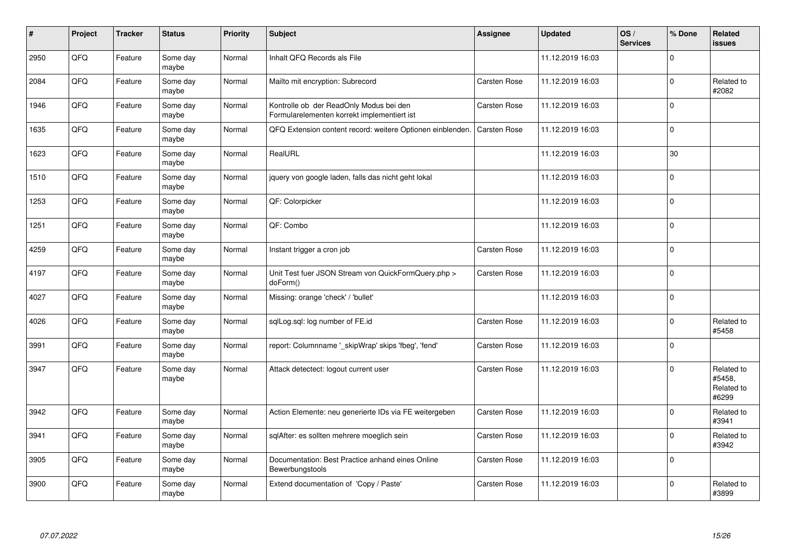| $\sharp$ | Project | <b>Tracker</b> | <b>Status</b>     | <b>Priority</b> | <b>Subject</b>                                                                         | Assignee            | <b>Updated</b>   | OS/<br><b>Services</b> | % Done      | Related<br><b>issues</b>                    |
|----------|---------|----------------|-------------------|-----------------|----------------------------------------------------------------------------------------|---------------------|------------------|------------------------|-------------|---------------------------------------------|
| 2950     | QFQ     | Feature        | Some day<br>maybe | Normal          | Inhalt QFQ Records als File                                                            |                     | 11.12.2019 16:03 |                        | $\Omega$    |                                             |
| 2084     | QFQ     | Feature        | Some day<br>maybe | Normal          | Mailto mit encryption: Subrecord                                                       | <b>Carsten Rose</b> | 11.12.2019 16:03 |                        | $\mathbf 0$ | Related to<br>#2082                         |
| 1946     | QFQ     | Feature        | Some day<br>maybe | Normal          | Kontrolle ob der ReadOnly Modus bei den<br>Formularelementen korrekt implementiert ist | <b>Carsten Rose</b> | 11.12.2019 16:03 |                        | $\mathbf 0$ |                                             |
| 1635     | QFQ     | Feature        | Some day<br>maybe | Normal          | QFQ Extension content record: weitere Optionen einblenden.                             | <b>Carsten Rose</b> | 11.12.2019 16:03 |                        | $\mathbf 0$ |                                             |
| 1623     | QFQ     | Feature        | Some day<br>maybe | Normal          | RealURL                                                                                |                     | 11.12.2019 16:03 |                        | 30          |                                             |
| 1510     | QFQ     | Feature        | Some day<br>maybe | Normal          | jquery von google laden, falls das nicht geht lokal                                    |                     | 11.12.2019 16:03 |                        | $\mathbf 0$ |                                             |
| 1253     | QFQ     | Feature        | Some day<br>maybe | Normal          | QF: Colorpicker                                                                        |                     | 11.12.2019 16:03 |                        | $\mathbf 0$ |                                             |
| 1251     | QFQ     | Feature        | Some day<br>maybe | Normal          | QF: Combo                                                                              |                     | 11.12.2019 16:03 |                        | $\pmb{0}$   |                                             |
| 4259     | QFQ     | Feature        | Some day<br>maybe | Normal          | Instant trigger a cron job                                                             | Carsten Rose        | 11.12.2019 16:03 |                        | $\pmb{0}$   |                                             |
| 4197     | QFQ     | Feature        | Some day<br>maybe | Normal          | Unit Test fuer JSON Stream von QuickFormQuery.php ><br>doForm()                        | <b>Carsten Rose</b> | 11.12.2019 16:03 |                        | $\mathbf 0$ |                                             |
| 4027     | QFQ     | Feature        | Some day<br>maybe | Normal          | Missing: orange 'check' / 'bullet'                                                     |                     | 11.12.2019 16:03 |                        | $\mathbf 0$ |                                             |
| 4026     | QFQ     | Feature        | Some day<br>maybe | Normal          | sglLog.sgl: log number of FE.id                                                        | <b>Carsten Rose</b> | 11.12.2019 16:03 |                        | $\Omega$    | Related to<br>#5458                         |
| 3991     | QFQ     | Feature        | Some day<br>maybe | Normal          | report: Columnname '_skipWrap' skips 'fbeg', 'fend'                                    | <b>Carsten Rose</b> | 11.12.2019 16:03 |                        | $\mathbf 0$ |                                             |
| 3947     | QFQ     | Feature        | Some day<br>maybe | Normal          | Attack detectect: logout current user                                                  | <b>Carsten Rose</b> | 11.12.2019 16:03 |                        | $\Omega$    | Related to<br>#5458,<br>Related to<br>#6299 |
| 3942     | QFQ     | Feature        | Some day<br>maybe | Normal          | Action Elemente: neu generierte IDs via FE weitergeben                                 | <b>Carsten Rose</b> | 11.12.2019 16:03 |                        | $\mathbf 0$ | Related to<br>#3941                         |
| 3941     | QFQ     | Feature        | Some day<br>maybe | Normal          | sqlAfter: es sollten mehrere moeglich sein                                             | <b>Carsten Rose</b> | 11.12.2019 16:03 |                        | $\mathbf 0$ | Related to<br>#3942                         |
| 3905     | QFQ     | Feature        | Some day<br>maybe | Normal          | Documentation: Best Practice anhand eines Online<br>Bewerbungstools                    | <b>Carsten Rose</b> | 11.12.2019 16:03 |                        | $\mathbf 0$ |                                             |
| 3900     | QFQ     | Feature        | Some day<br>maybe | Normal          | Extend documentation of 'Copy / Paste'                                                 | <b>Carsten Rose</b> | 11.12.2019 16:03 |                        | $\Omega$    | Related to<br>#3899                         |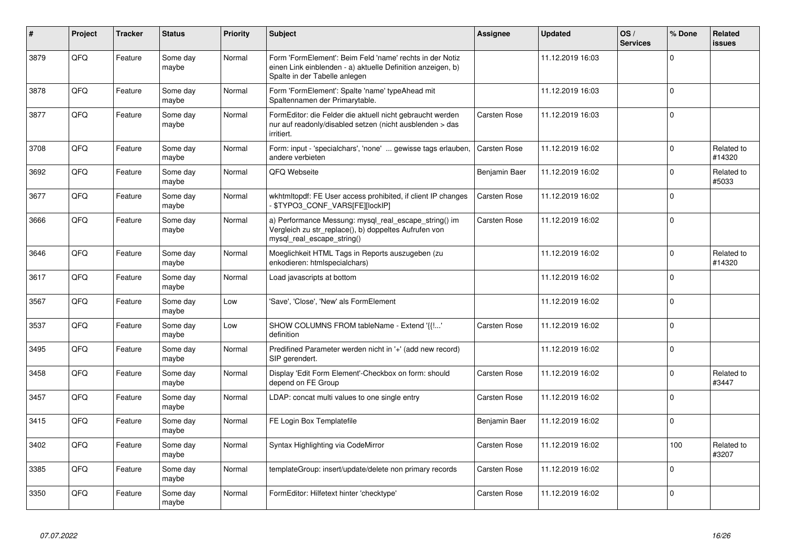| #    | Project | <b>Tracker</b> | <b>Status</b>     | <b>Priority</b> | <b>Subject</b>                                                                                                                                           | <b>Assignee</b>     | <b>Updated</b>   | OS/<br><b>Services</b> | % Done       | Related<br><b>issues</b> |
|------|---------|----------------|-------------------|-----------------|----------------------------------------------------------------------------------------------------------------------------------------------------------|---------------------|------------------|------------------------|--------------|--------------------------|
| 3879 | QFQ     | Feature        | Some day<br>maybe | Normal          | Form 'FormElement': Beim Feld 'name' rechts in der Notiz<br>einen Link einblenden - a) aktuelle Definition anzeigen, b)<br>Spalte in der Tabelle anlegen |                     | 11.12.2019 16:03 |                        | $\Omega$     |                          |
| 3878 | QFQ     | Feature        | Some day<br>maybe | Normal          | Form 'FormElement': Spalte 'name' typeAhead mit<br>Spaltennamen der Primarytable.                                                                        |                     | 11.12.2019 16:03 |                        | $\Omega$     |                          |
| 3877 | QFQ     | Feature        | Some day<br>maybe | Normal          | FormEditor: die Felder die aktuell nicht gebraucht werden<br>nur auf readonly/disabled setzen (nicht ausblenden > das<br>irritiert.                      | <b>Carsten Rose</b> | 11.12.2019 16:03 |                        | $\mathbf 0$  |                          |
| 3708 | QFQ     | Feature        | Some day<br>maybe | Normal          | Form: input - 'specialchars', 'none'  gewisse tags erlauben,<br>andere verbieten                                                                         | <b>Carsten Rose</b> | 11.12.2019 16:02 |                        | $\Omega$     | Related to<br>#14320     |
| 3692 | QFQ     | Feature        | Some day<br>maybe | Normal          | QFQ Webseite                                                                                                                                             | Benjamin Baer       | 11.12.2019 16:02 |                        | $\mathbf{0}$ | Related to<br>#5033      |
| 3677 | QFQ     | Feature        | Some day<br>maybe | Normal          | wkhtmltopdf: FE User access prohibited, if client IP changes<br>\$TYPO3_CONF_VARS[FE][locklP]                                                            | <b>Carsten Rose</b> | 11.12.2019 16:02 |                        | $\Omega$     |                          |
| 3666 | QFQ     | Feature        | Some day<br>maybe | Normal          | a) Performance Messung: mysql real escape string() im<br>Vergleich zu str_replace(), b) doppeltes Aufrufen von<br>mysql real escape string()             | <b>Carsten Rose</b> | 11.12.2019 16:02 |                        | $\mathbf{0}$ |                          |
| 3646 | QFQ     | Feature        | Some day<br>maybe | Normal          | Moeglichkeit HTML Tags in Reports auszugeben (zu<br>enkodieren: htmlspecialchars)                                                                        |                     | 11.12.2019 16:02 |                        | $\Omega$     | Related to<br>#14320     |
| 3617 | QFQ     | Feature        | Some day<br>maybe | Normal          | Load javascripts at bottom                                                                                                                               |                     | 11.12.2019 16:02 |                        | $\Omega$     |                          |
| 3567 | QFQ     | Feature        | Some day<br>maybe | Low             | 'Save', 'Close', 'New' als FormElement                                                                                                                   |                     | 11.12.2019 16:02 |                        | $\Omega$     |                          |
| 3537 | QFQ     | Feature        | Some day<br>maybe | Low             | SHOW COLUMNS FROM tableName - Extend '{{!'<br>definition                                                                                                 | <b>Carsten Rose</b> | 11.12.2019 16:02 |                        | $\mathbf{0}$ |                          |
| 3495 | QFQ     | Feature        | Some day<br>maybe | Normal          | Predifined Parameter werden nicht in '+' (add new record)<br>SIP gerendert.                                                                              |                     | 11.12.2019 16:02 |                        | $\Omega$     |                          |
| 3458 | QFQ     | Feature        | Some day<br>maybe | Normal          | Display 'Edit Form Element'-Checkbox on form: should<br>depend on FE Group                                                                               | <b>Carsten Rose</b> | 11.12.2019 16:02 |                        | $\Omega$     | Related to<br>#3447      |
| 3457 | QFQ     | Feature        | Some day<br>maybe | Normal          | LDAP: concat multi values to one single entry                                                                                                            | <b>Carsten Rose</b> | 11.12.2019 16:02 |                        | $\Omega$     |                          |
| 3415 | QFQ     | Feature        | Some day<br>maybe | Normal          | FE Login Box Templatefile                                                                                                                                | Benjamin Baer       | 11.12.2019 16:02 |                        | $\Omega$     |                          |
| 3402 | QFQ     | Feature        | Some day<br>maybe | Normal          | Syntax Highlighting via CodeMirror                                                                                                                       | <b>Carsten Rose</b> | 11.12.2019 16:02 |                        | 100          | Related to<br>#3207      |
| 3385 | QFQ     | Feature        | Some day<br>maybe | Normal          | templateGroup: insert/update/delete non primary records                                                                                                  | <b>Carsten Rose</b> | 11.12.2019 16:02 |                        | $\Omega$     |                          |
| 3350 | QFQ     | Feature        | Some day<br>maybe | Normal          | FormEditor: Hilfetext hinter 'checktype'                                                                                                                 | <b>Carsten Rose</b> | 11.12.2019 16:02 |                        | $\mathbf{0}$ |                          |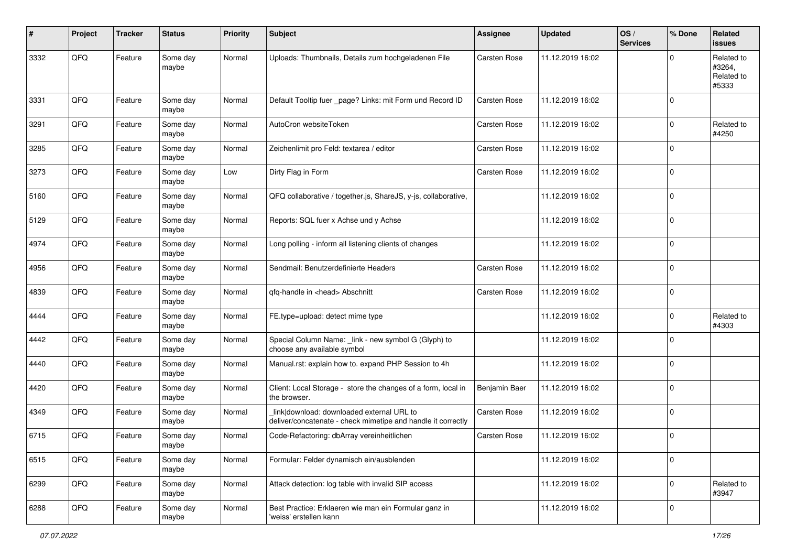| #    | Project | <b>Tracker</b> | <b>Status</b>     | <b>Priority</b> | <b>Subject</b>                                                                                            | Assignee      | <b>Updated</b>   | OS/<br><b>Services</b> | % Done         | Related<br><b>issues</b>                    |
|------|---------|----------------|-------------------|-----------------|-----------------------------------------------------------------------------------------------------------|---------------|------------------|------------------------|----------------|---------------------------------------------|
| 3332 | QFQ     | Feature        | Some day<br>maybe | Normal          | Uploads: Thumbnails, Details zum hochgeladenen File                                                       | Carsten Rose  | 11.12.2019 16:02 |                        | $\Omega$       | Related to<br>#3264,<br>Related to<br>#5333 |
| 3331 | QFQ     | Feature        | Some day<br>maybe | Normal          | Default Tooltip fuer _page? Links: mit Form und Record ID                                                 | Carsten Rose  | 11.12.2019 16:02 |                        | $\mathbf 0$    |                                             |
| 3291 | QFQ     | Feature        | Some day<br>maybe | Normal          | AutoCron websiteToken                                                                                     | Carsten Rose  | 11.12.2019 16:02 |                        | $\mathbf 0$    | Related to<br>#4250                         |
| 3285 | QFQ     | Feature        | Some day<br>maybe | Normal          | Zeichenlimit pro Feld: textarea / editor                                                                  | Carsten Rose  | 11.12.2019 16:02 |                        | $\mathbf 0$    |                                             |
| 3273 | QFQ     | Feature        | Some day<br>maybe | Low             | Dirty Flag in Form                                                                                        | Carsten Rose  | 11.12.2019 16:02 |                        | $\mathbf 0$    |                                             |
| 5160 | QFQ     | Feature        | Some day<br>maybe | Normal          | QFQ collaborative / together.js, ShareJS, y-js, collaborative,                                            |               | 11.12.2019 16:02 |                        | $\overline{0}$ |                                             |
| 5129 | QFQ     | Feature        | Some day<br>maybe | Normal          | Reports: SQL fuer x Achse und y Achse                                                                     |               | 11.12.2019 16:02 |                        | $\mathbf 0$    |                                             |
| 4974 | QFQ     | Feature        | Some day<br>maybe | Normal          | Long polling - inform all listening clients of changes                                                    |               | 11.12.2019 16:02 |                        | $\overline{0}$ |                                             |
| 4956 | QFQ     | Feature        | Some day<br>maybe | Normal          | Sendmail: Benutzerdefinierte Headers                                                                      | Carsten Rose  | 11.12.2019 16:02 |                        | $\mathbf 0$    |                                             |
| 4839 | QFQ     | Feature        | Some day<br>maybe | Normal          | qfq-handle in <head> Abschnitt</head>                                                                     | Carsten Rose  | 11.12.2019 16:02 |                        | $\overline{0}$ |                                             |
| 4444 | QFQ     | Feature        | Some day<br>maybe | Normal          | FE.type=upload: detect mime type                                                                          |               | 11.12.2019 16:02 |                        | $\mathbf 0$    | Related to<br>#4303                         |
| 4442 | QFQ     | Feature        | Some day<br>maybe | Normal          | Special Column Name: _link - new symbol G (Glyph) to<br>choose any available symbol                       |               | 11.12.2019 16:02 |                        | $\overline{0}$ |                                             |
| 4440 | QFQ     | Feature        | Some day<br>maybe | Normal          | Manual.rst: explain how to. expand PHP Session to 4h                                                      |               | 11.12.2019 16:02 |                        | $\overline{0}$ |                                             |
| 4420 | QFQ     | Feature        | Some day<br>maybe | Normal          | Client: Local Storage - store the changes of a form, local in<br>the browser.                             | Benjamin Baer | 11.12.2019 16:02 |                        | $\mathbf 0$    |                                             |
| 4349 | QFQ     | Feature        | Some day<br>maybe | Normal          | link download: downloaded external URL to<br>deliver/concatenate - check mimetipe and handle it correctly | Carsten Rose  | 11.12.2019 16:02 |                        | $\overline{0}$ |                                             |
| 6715 | QFQ     | Feature        | Some day<br>maybe | Normal          | Code-Refactoring: dbArray vereinheitlichen                                                                | Carsten Rose  | 11.12.2019 16:02 |                        | $\mathbf 0$    |                                             |
| 6515 | QFQ     | Feature        | Some day<br>maybe | Normal          | Formular: Felder dynamisch ein/ausblenden                                                                 |               | 11.12.2019 16:02 |                        | $\overline{0}$ |                                             |
| 6299 | QFQ     | Feature        | Some day<br>maybe | Normal          | Attack detection: log table with invalid SIP access                                                       |               | 11.12.2019 16:02 |                        | $\mathbf 0$    | Related to<br>#3947                         |
| 6288 | QFG     | Feature        | Some day<br>maybe | Normal          | Best Practice: Erklaeren wie man ein Formular ganz in<br>'weiss' erstellen kann                           |               | 11.12.2019 16:02 |                        | $\overline{0}$ |                                             |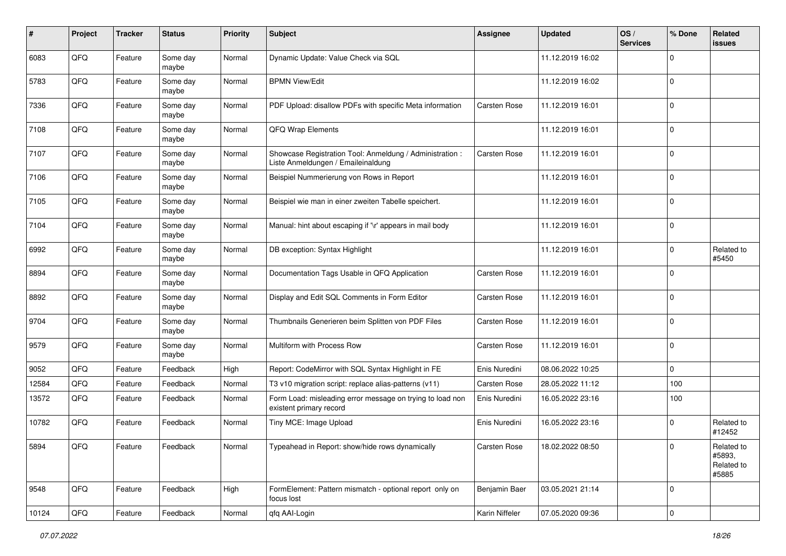| $\#$  | Project | <b>Tracker</b> | <b>Status</b>     | <b>Priority</b> | <b>Subject</b>                                                                                 | <b>Assignee</b>     | <b>Updated</b>   | OS/<br><b>Services</b> | % Done       | Related<br>issues                           |
|-------|---------|----------------|-------------------|-----------------|------------------------------------------------------------------------------------------------|---------------------|------------------|------------------------|--------------|---------------------------------------------|
| 6083  | QFQ     | Feature        | Some day<br>maybe | Normal          | Dynamic Update: Value Check via SQL                                                            |                     | 11.12.2019 16:02 |                        | <sup>0</sup> |                                             |
| 5783  | QFQ     | Feature        | Some day<br>maybe | Normal          | <b>BPMN View/Edit</b>                                                                          |                     | 11.12.2019 16:02 |                        | $\mathbf 0$  |                                             |
| 7336  | QFQ     | Feature        | Some day<br>maybe | Normal          | PDF Upload: disallow PDFs with specific Meta information                                       | <b>Carsten Rose</b> | 11.12.2019 16:01 |                        | 0            |                                             |
| 7108  | QFQ     | Feature        | Some day<br>maybe | Normal          | <b>QFQ Wrap Elements</b>                                                                       |                     | 11.12.2019 16:01 |                        | $\mathbf 0$  |                                             |
| 7107  | QFQ     | Feature        | Some day<br>maybe | Normal          | Showcase Registration Tool: Anmeldung / Administration :<br>Liste Anmeldungen / Emaileinaldung | <b>Carsten Rose</b> | 11.12.2019 16:01 |                        | $\mathbf 0$  |                                             |
| 7106  | QFQ     | Feature        | Some day<br>maybe | Normal          | Beispiel Nummerierung von Rows in Report                                                       |                     | 11.12.2019 16:01 |                        | $\Omega$     |                                             |
| 7105  | QFQ     | Feature        | Some day<br>maybe | Normal          | Beispiel wie man in einer zweiten Tabelle speichert.                                           |                     | 11.12.2019 16:01 |                        | $\Omega$     |                                             |
| 7104  | QFQ     | Feature        | Some day<br>maybe | Normal          | Manual: hint about escaping if '\r' appears in mail body                                       |                     | 11.12.2019 16:01 |                        | $\Omega$     |                                             |
| 6992  | QFQ     | Feature        | Some day<br>maybe | Normal          | DB exception: Syntax Highlight                                                                 |                     | 11.12.2019 16:01 |                        | $\Omega$     | Related to<br>#5450                         |
| 8894  | QFQ     | Feature        | Some day<br>maybe | Normal          | Documentation Tags Usable in QFQ Application                                                   | <b>Carsten Rose</b> | 11.12.2019 16:01 |                        | 0            |                                             |
| 8892  | QFQ     | Feature        | Some day<br>maybe | Normal          | Display and Edit SQL Comments in Form Editor                                                   | Carsten Rose        | 11.12.2019 16:01 |                        | $\Omega$     |                                             |
| 9704  | QFQ     | Feature        | Some day<br>maybe | Normal          | Thumbnails Generieren beim Splitten von PDF Files                                              | <b>Carsten Rose</b> | 11.12.2019 16:01 |                        | $\Omega$     |                                             |
| 9579  | QFQ     | Feature        | Some day<br>maybe | Normal          | Multiform with Process Row                                                                     | <b>Carsten Rose</b> | 11.12.2019 16:01 |                        | $\Omega$     |                                             |
| 9052  | QFQ     | Feature        | Feedback          | High            | Report: CodeMirror with SQL Syntax Highlight in FE                                             | Enis Nuredini       | 08.06.2022 10:25 |                        | 0            |                                             |
| 12584 | QFQ     | Feature        | Feedback          | Normal          | T3 v10 migration script: replace alias-patterns (v11)                                          | Carsten Rose        | 28.05.2022 11:12 |                        | 100          |                                             |
| 13572 | QFQ     | Feature        | Feedback          | Normal          | Form Load: misleading error message on trying to load non<br>existent primary record           | Enis Nuredini       | 16.05.2022 23:16 |                        | 100          |                                             |
| 10782 | QFQ     | Feature        | Feedback          | Normal          | Tiny MCE: Image Upload                                                                         | Enis Nuredini       | 16.05.2022 23:16 |                        | $\Omega$     | Related to<br>#12452                        |
| 5894  | QFQ     | Feature        | Feedback          | Normal          | Typeahead in Report: show/hide rows dynamically                                                | Carsten Rose        | 18.02.2022 08:50 |                        |              | Related to<br>#5893,<br>Related to<br>#5885 |
| 9548  | QFQ     | Feature        | Feedback          | High            | FormElement: Pattern mismatch - optional report only on<br>focus lost                          | Benjamin Baer       | 03.05.2021 21:14 |                        | $\mathbf 0$  |                                             |
| 10124 | QFQ     | Feature        | Feedback          | Normal          | qfq AAI-Login                                                                                  | Karin Niffeler      | 07.05.2020 09:36 |                        | $\mathbf 0$  |                                             |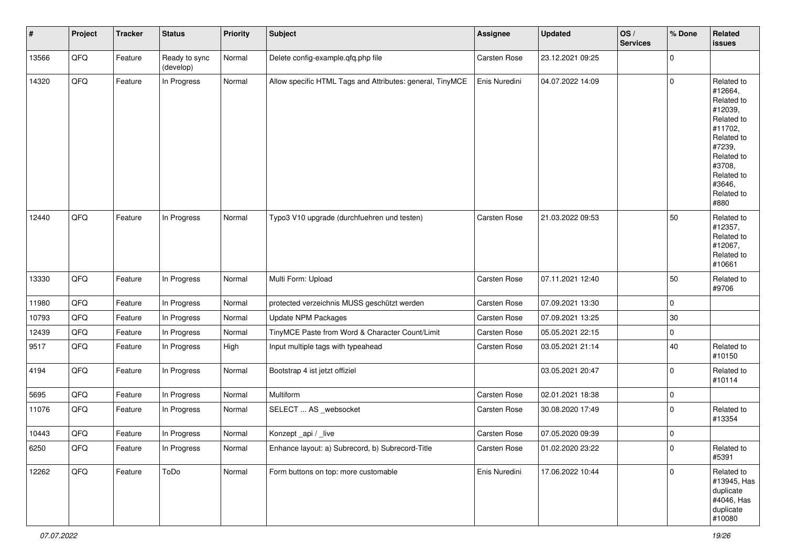| #     | Project | <b>Tracker</b> | <b>Status</b>              | <b>Priority</b> | Subject                                                   | Assignee      | Updated          | OS/<br><b>Services</b> | % Done      | Related<br><b>issues</b>                                                                                                                                              |
|-------|---------|----------------|----------------------------|-----------------|-----------------------------------------------------------|---------------|------------------|------------------------|-------------|-----------------------------------------------------------------------------------------------------------------------------------------------------------------------|
| 13566 | QFG     | Feature        | Ready to sync<br>(develop) | Normal          | Delete config-example.qfq.php file                        | Carsten Rose  | 23.12.2021 09:25 |                        | $\mathbf 0$ |                                                                                                                                                                       |
| 14320 | QFQ     | Feature        | In Progress                | Normal          | Allow specific HTML Tags and Attributes: general, TinyMCE | Enis Nuredini | 04.07.2022 14:09 |                        | $\mathbf 0$ | Related to<br>#12664,<br>Related to<br>#12039,<br>Related to<br>#11702,<br>Related to<br>#7239,<br>Related to<br>#3708,<br>Related to<br>#3646,<br>Related to<br>#880 |
| 12440 | QFQ     | Feature        | In Progress                | Normal          | Typo3 V10 upgrade (durchfuehren und testen)               | Carsten Rose  | 21.03.2022 09:53 |                        | 50          | Related to<br>#12357,<br>Related to<br>#12067,<br>Related to<br>#10661                                                                                                |
| 13330 | QFQ     | Feature        | In Progress                | Normal          | Multi Form: Upload                                        | Carsten Rose  | 07.11.2021 12:40 |                        | 50          | Related to<br>#9706                                                                                                                                                   |
| 11980 | QFQ     | Feature        | In Progress                | Normal          | protected verzeichnis MUSS geschützt werden               | Carsten Rose  | 07.09.2021 13:30 |                        | $\mathbf 0$ |                                                                                                                                                                       |
| 10793 | QFQ     | Feature        | In Progress                | Normal          | <b>Update NPM Packages</b>                                | Carsten Rose  | 07.09.2021 13:25 |                        | $30\,$      |                                                                                                                                                                       |
| 12439 | QFG     | Feature        | In Progress                | Normal          | TinyMCE Paste from Word & Character Count/Limit           | Carsten Rose  | 05.05.2021 22:15 |                        | $\mathbf 0$ |                                                                                                                                                                       |
| 9517  | QFQ     | Feature        | In Progress                | High            | Input multiple tags with typeahead                        | Carsten Rose  | 03.05.2021 21:14 |                        | 40          | Related to<br>#10150                                                                                                                                                  |
| 4194  | QFQ     | Feature        | In Progress                | Normal          | Bootstrap 4 ist jetzt offiziel                            |               | 03.05.2021 20:47 |                        | $\mathbf 0$ | Related to<br>#10114                                                                                                                                                  |
| 5695  | QFQ     | Feature        | In Progress                | Normal          | Multiform                                                 | Carsten Rose  | 02.01.2021 18:38 |                        | $\mathbf 0$ |                                                                                                                                                                       |
| 11076 | QFQ     | Feature        | In Progress                | Normal          | SELECT  AS _websocket                                     | Carsten Rose  | 30.08.2020 17:49 |                        | $\mathbf 0$ | Related to<br>#13354                                                                                                                                                  |
| 10443 | QFQ     | Feature        | In Progress                | Normal          | Konzept_api / _live                                       | Carsten Rose  | 07.05.2020 09:39 |                        | $\mathbf 0$ |                                                                                                                                                                       |
| 6250  | QFQ     | Feature        | In Progress                | Normal          | Enhance layout: a) Subrecord, b) Subrecord-Title          | Carsten Rose  | 01.02.2020 23:22 |                        | 0           | Related to<br>#5391                                                                                                                                                   |
| 12262 | QFQ     | Feature        | ToDo                       | Normal          | Form buttons on top: more customable                      | Enis Nuredini | 17.06.2022 10:44 |                        | $\mathbf 0$ | Related to<br>#13945, Has<br>duplicate<br>#4046, Has<br>duplicate<br>#10080                                                                                           |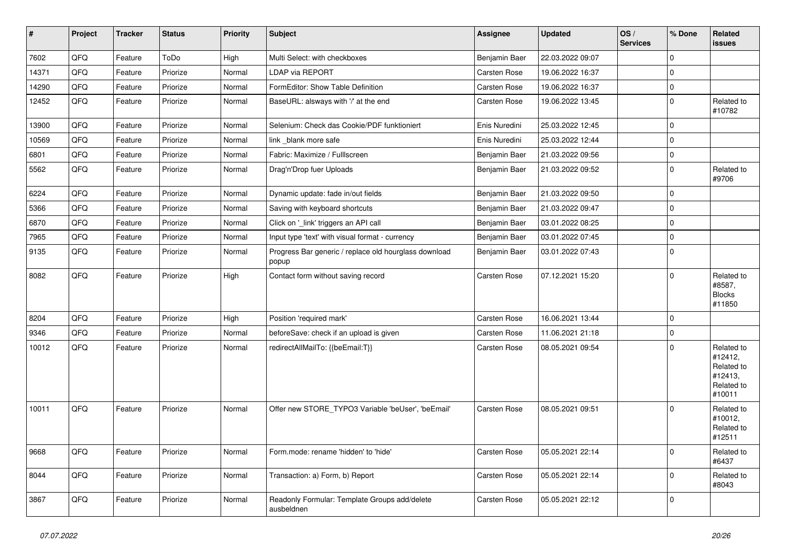| $\vert$ # | Project | <b>Tracker</b> | <b>Status</b> | <b>Priority</b> | Subject                                                        | Assignee      | <b>Updated</b>   | OS/<br><b>Services</b> | % Done      | Related<br>issues                                                      |
|-----------|---------|----------------|---------------|-----------------|----------------------------------------------------------------|---------------|------------------|------------------------|-------------|------------------------------------------------------------------------|
| 7602      | QFQ     | Feature        | ToDo          | High            | Multi Select: with checkboxes                                  | Benjamin Baer | 22.03.2022 09:07 |                        | $\mathbf 0$ |                                                                        |
| 14371     | QFQ     | Feature        | Priorize      | Normal          | <b>LDAP via REPORT</b>                                         | Carsten Rose  | 19.06.2022 16:37 |                        | $\mathbf 0$ |                                                                        |
| 14290     | QFQ     | Feature        | Priorize      | Normal          | FormEditor: Show Table Definition                              | Carsten Rose  | 19.06.2022 16:37 |                        | $\mathbf 0$ |                                                                        |
| 12452     | QFQ     | Feature        | Priorize      | Normal          | BaseURL: alsways with '/' at the end                           | Carsten Rose  | 19.06.2022 13:45 |                        | $\mathbf 0$ | Related to<br>#10782                                                   |
| 13900     | QFQ     | Feature        | Priorize      | Normal          | Selenium: Check das Cookie/PDF funktioniert                    | Enis Nuredini | 25.03.2022 12:45 |                        | $\mathbf 0$ |                                                                        |
| 10569     | QFQ     | Feature        | Priorize      | Normal          | link blank more safe                                           | Enis Nuredini | 25.03.2022 12:44 |                        | 0           |                                                                        |
| 6801      | QFQ     | Feature        | Priorize      | Normal          | Fabric: Maximize / FullIscreen                                 | Benjamin Baer | 21.03.2022 09:56 |                        | $\mathbf 0$ |                                                                        |
| 5562      | QFQ     | Feature        | Priorize      | Normal          | Drag'n'Drop fuer Uploads                                       | Benjamin Baer | 21.03.2022 09:52 |                        | $\mathbf 0$ | Related to<br>#9706                                                    |
| 6224      | QFQ     | Feature        | Priorize      | Normal          | Dynamic update: fade in/out fields                             | Benjamin Baer | 21.03.2022 09:50 |                        | $\mathbf 0$ |                                                                        |
| 5366      | QFQ     | Feature        | Priorize      | Normal          | Saving with keyboard shortcuts                                 | Benjamin Baer | 21.03.2022 09:47 |                        | $\mathbf 0$ |                                                                        |
| 6870      | QFQ     | Feature        | Priorize      | Normal          | Click on '_link' triggers an API call                          | Benjamin Baer | 03.01.2022 08:25 |                        | $\mathbf 0$ |                                                                        |
| 7965      | QFQ     | Feature        | Priorize      | Normal          | Input type 'text' with visual format - currency                | Benjamin Baer | 03.01.2022 07:45 |                        | $\mathbf 0$ |                                                                        |
| 9135      | QFQ     | Feature        | Priorize      | Normal          | Progress Bar generic / replace old hourglass download<br>popup | Benjamin Baer | 03.01.2022 07:43 |                        | $\mathbf 0$ |                                                                        |
| 8082      | QFQ     | Feature        | Priorize      | High            | Contact form without saving record                             | Carsten Rose  | 07.12.2021 15:20 |                        | $\mathbf 0$ | Related to<br>#8587,<br><b>Blocks</b><br>#11850                        |
| 8204      | QFQ     | Feature        | Priorize      | High            | Position 'required mark'                                       | Carsten Rose  | 16.06.2021 13:44 |                        | $\mathbf 0$ |                                                                        |
| 9346      | QFQ     | Feature        | Priorize      | Normal          | beforeSave: check if an upload is given                        | Carsten Rose  | 11.06.2021 21:18 |                        | $\mathbf 0$ |                                                                        |
| 10012     | QFQ     | Feature        | Priorize      | Normal          | redirectAllMailTo: {{beEmail:T}}                               | Carsten Rose  | 08.05.2021 09:54 |                        | $\mathbf 0$ | Related to<br>#12412,<br>Related to<br>#12413,<br>Related to<br>#10011 |
| 10011     | QFQ     | Feature        | Priorize      | Normal          | Offer new STORE_TYPO3 Variable 'beUser', 'beEmail'             | Carsten Rose  | 08.05.2021 09:51 |                        | 0           | Related to<br>#10012,<br>Related to<br>#12511                          |
| 8668      | QFQ     | Feature        | Priorize      | Normal          | Form.mode: rename 'hidden' to 'hide'                           | Carsten Rose  | 05.05.2021 22:14 |                        | $\pmb{0}$   | Related to<br>#6437                                                    |
| 8044      | QFG     | Feature        | Priorize      | Normal          | Transaction: a) Form, b) Report                                | Carsten Rose  | 05.05.2021 22:14 |                        | $\mathbf 0$ | Related to<br>#8043                                                    |
| 3867      | QFG     | Feature        | Priorize      | Normal          | Readonly Formular: Template Groups add/delete<br>ausbeldnen    | Carsten Rose  | 05.05.2021 22:12 |                        | 0           |                                                                        |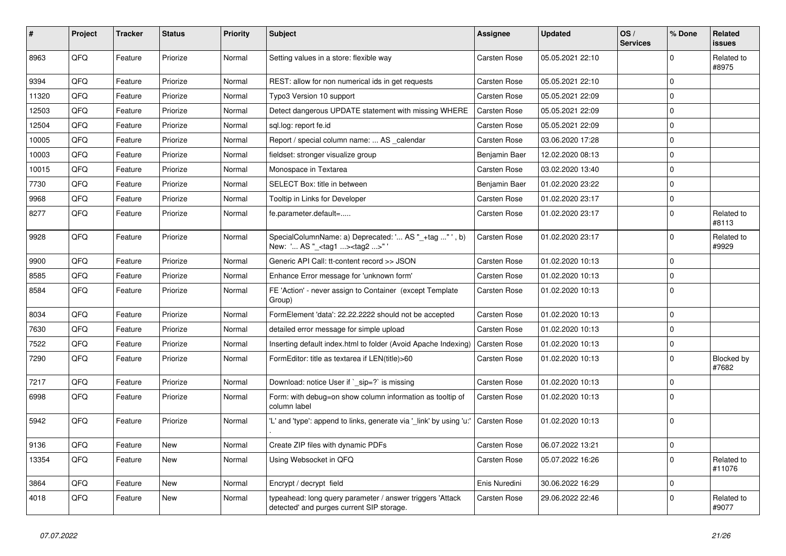| #     | Project | <b>Tracker</b> | <b>Status</b> | <b>Priority</b> | <b>Subject</b>                                                                                         | Assignee            | <b>Updated</b>   | OS/<br><b>Services</b> | % Done      | Related<br>issues    |
|-------|---------|----------------|---------------|-----------------|--------------------------------------------------------------------------------------------------------|---------------------|------------------|------------------------|-------------|----------------------|
| 8963  | QFQ     | Feature        | Priorize      | Normal          | Setting values in a store: flexible way                                                                | Carsten Rose        | 05.05.2021 22:10 |                        | $\Omega$    | Related to<br>#8975  |
| 9394  | QFQ     | Feature        | Priorize      | Normal          | REST: allow for non numerical ids in get requests                                                      | <b>Carsten Rose</b> | 05.05.2021 22:10 |                        | $\mathbf 0$ |                      |
| 11320 | QFQ     | Feature        | Priorize      | Normal          | Typo3 Version 10 support                                                                               | <b>Carsten Rose</b> | 05.05.2021 22:09 |                        | $\mathbf 0$ |                      |
| 12503 | QFQ     | Feature        | Priorize      | Normal          | Detect dangerous UPDATE statement with missing WHERE                                                   | Carsten Rose        | 05.05.2021 22:09 |                        | $\Omega$    |                      |
| 12504 | QFQ     | Feature        | Priorize      | Normal          | sql.log: report fe.id                                                                                  | Carsten Rose        | 05.05.2021 22:09 |                        | $\Omega$    |                      |
| 10005 | QFQ     | Feature        | Priorize      | Normal          | Report / special column name:  AS calendar                                                             | Carsten Rose        | 03.06.2020 17:28 |                        | $\Omega$    |                      |
| 10003 | QFQ     | Feature        | Priorize      | Normal          | fieldset: stronger visualize group                                                                     | Benjamin Baer       | 12.02.2020 08:13 |                        | $\Omega$    |                      |
| 10015 | QFQ     | Feature        | Priorize      | Normal          | Monospace in Textarea                                                                                  | <b>Carsten Rose</b> | 03.02.2020 13:40 |                        | $\Omega$    |                      |
| 7730  | QFQ     | Feature        | Priorize      | Normal          | SELECT Box: title in between                                                                           | Benjamin Baer       | 01.02.2020 23:22 |                        | $\mathbf 0$ |                      |
| 9968  | QFQ     | Feature        | Priorize      | Normal          | Tooltip in Links for Developer                                                                         | <b>Carsten Rose</b> | 01.02.2020 23:17 |                        | $\Omega$    |                      |
| 8277  | QFQ     | Feature        | Priorize      | Normal          | fe.parameter.default=                                                                                  | <b>Carsten Rose</b> | 01.02.2020 23:17 |                        | $\Omega$    | Related to<br>#8113  |
| 9928  | QFQ     | Feature        | Priorize      | Normal          | SpecialColumnName: a) Deprecated: ' AS "_+tag " ', b)<br>New: ' AS "_ <tag1><tag2>"</tag2></tag1>      | <b>Carsten Rose</b> | 01.02.2020 23:17 |                        | $\Omega$    | Related to<br>#9929  |
| 9900  | QFQ     | Feature        | Priorize      | Normal          | Generic API Call: tt-content record >> JSON                                                            | <b>Carsten Rose</b> | 01.02.2020 10:13 |                        | $\mathbf 0$ |                      |
| 8585  | QFQ     | Feature        | Priorize      | Normal          | Enhance Error message for 'unknown form'                                                               | <b>Carsten Rose</b> | 01.02.2020 10:13 |                        | $\Omega$    |                      |
| 8584  | QFQ     | Feature        | Priorize      | Normal          | FE 'Action' - never assign to Container (except Template<br>Group)                                     | Carsten Rose        | 01.02.2020 10:13 |                        | $\Omega$    |                      |
| 8034  | QFQ     | Feature        | Priorize      | Normal          | FormElement 'data': 22.22.2222 should not be accepted                                                  | Carsten Rose        | 01.02.2020 10:13 |                        | $\Omega$    |                      |
| 7630  | QFQ     | Feature        | Priorize      | Normal          | detailed error message for simple upload                                                               | <b>Carsten Rose</b> | 01.02.2020 10:13 |                        | $\Omega$    |                      |
| 7522  | QFQ     | Feature        | Priorize      | Normal          | Inserting default index.html to folder (Avoid Apache Indexing)                                         | <b>Carsten Rose</b> | 01.02.2020 10:13 |                        | $\Omega$    |                      |
| 7290  | QFQ     | Feature        | Priorize      | Normal          | FormEditor: title as textarea if LEN(title)>60                                                         | <b>Carsten Rose</b> | 01.02.2020 10:13 |                        | $\Omega$    | Blocked by<br>#7682  |
| 7217  | QFQ     | Feature        | Priorize      | Normal          | Download: notice User if `_sip=?` is missing                                                           | <b>Carsten Rose</b> | 01.02.2020 10:13 |                        | 0           |                      |
| 6998  | QFQ     | Feature        | Priorize      | Normal          | Form: with debug=on show column information as tooltip of<br>column label                              | <b>Carsten Rose</b> | 01.02.2020 10:13 |                        | $\Omega$    |                      |
| 5942  | QFQ     | Feature        | Priorize      | Normal          | 'L' and 'type': append to links, generate via '_link' by using 'u:'                                    | <b>Carsten Rose</b> | 01.02.2020 10:13 |                        | $\Omega$    |                      |
| 9136  | QFQ     | Feature        | <b>New</b>    | Normal          | Create ZIP files with dynamic PDFs                                                                     | Carsten Rose        | 06.07.2022 13:21 |                        | $\mathbf 0$ |                      |
| 13354 | QFQ     | Feature        | <b>New</b>    | Normal          | Using Websocket in QFQ                                                                                 | <b>Carsten Rose</b> | 05.07.2022 16:26 |                        | $\Omega$    | Related to<br>#11076 |
| 3864  | QFQ     | Feature        | <b>New</b>    | Normal          | Encrypt / decrypt field                                                                                | Enis Nuredini       | 30.06.2022 16:29 |                        | 0           |                      |
| 4018  | QFQ     | Feature        | <b>New</b>    | Normal          | typeahead: long query parameter / answer triggers 'Attack<br>detected' and purges current SIP storage. | <b>Carsten Rose</b> | 29.06.2022 22:46 |                        | $\Omega$    | Related to<br>#9077  |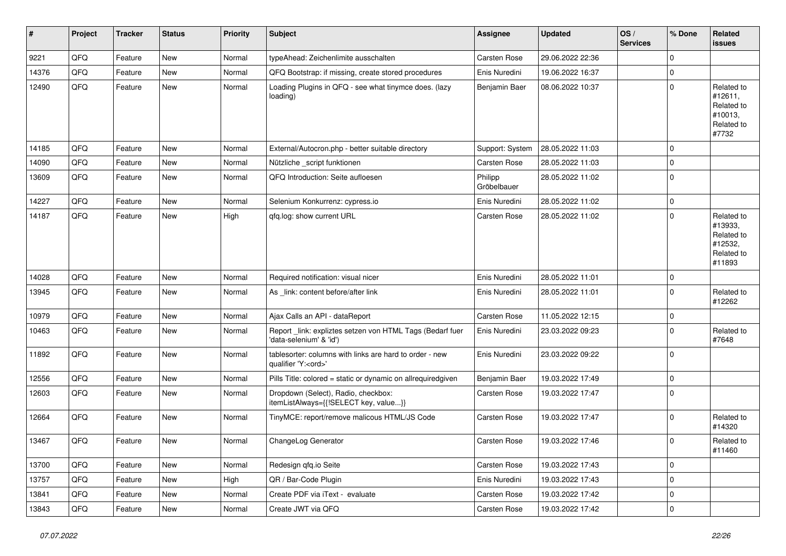| #     | Project | <b>Tracker</b> | <b>Status</b> | <b>Priority</b> | <b>Subject</b>                                                                        | <b>Assignee</b>        | <b>Updated</b>   | OS/<br><b>Services</b> | % Done      | Related<br><b>issues</b>                                               |
|-------|---------|----------------|---------------|-----------------|---------------------------------------------------------------------------------------|------------------------|------------------|------------------------|-------------|------------------------------------------------------------------------|
| 9221  | QFQ     | Feature        | New           | Normal          | typeAhead: Zeichenlimite ausschalten                                                  | Carsten Rose           | 29.06.2022 22:36 |                        | $\Omega$    |                                                                        |
| 14376 | QFQ     | Feature        | New           | Normal          | QFQ Bootstrap: if missing, create stored procedures                                   | Enis Nuredini          | 19.06.2022 16:37 |                        | $\mathbf 0$ |                                                                        |
| 12490 | QFQ     | Feature        | New           | Normal          | Loading Plugins in QFQ - see what tinymce does. (lazy<br>loading)                     | Benjamin Baer          | 08.06.2022 10:37 |                        | $\Omega$    | Related to<br>#12611,<br>Related to<br>#10013,<br>Related to<br>#7732  |
| 14185 | QFQ     | Feature        | <b>New</b>    | Normal          | External/Autocron.php - better suitable directory                                     | Support: System        | 28.05.2022 11:03 |                        | $\mathbf 0$ |                                                                        |
| 14090 | QFQ     | Feature        | New           | Normal          | Nützliche _script funktionen                                                          | <b>Carsten Rose</b>    | 28.05.2022 11:03 |                        | $\mathbf 0$ |                                                                        |
| 13609 | QFQ     | Feature        | New           | Normal          | QFQ Introduction: Seite aufloesen                                                     | Philipp<br>Gröbelbauer | 28.05.2022 11:02 |                        | $\Omega$    |                                                                        |
| 14227 | QFQ     | Feature        | New           | Normal          | Selenium Konkurrenz: cypress.io                                                       | Enis Nuredini          | 28.05.2022 11:02 |                        | $\mathbf 0$ |                                                                        |
| 14187 | QFQ     | Feature        | New           | High            | qfq.log: show current URL                                                             | <b>Carsten Rose</b>    | 28.05.2022 11:02 |                        | $\mathbf 0$ | Related to<br>#13933,<br>Related to<br>#12532,<br>Related to<br>#11893 |
| 14028 | QFQ     | Feature        | <b>New</b>    | Normal          | Required notification: visual nicer                                                   | Enis Nuredini          | 28.05.2022 11:01 |                        | $\mathbf 0$ |                                                                        |
| 13945 | QFQ     | Feature        | New           | Normal          | As _link: content before/after link                                                   | Enis Nuredini          | 28.05.2022 11:01 |                        | $\mathbf 0$ | Related to<br>#12262                                                   |
| 10979 | QFQ     | Feature        | <b>New</b>    | Normal          | Ajax Calls an API - dataReport                                                        | Carsten Rose           | 11.05.2022 12:15 |                        | $\mathbf 0$ |                                                                        |
| 10463 | QFQ     | Feature        | New           | Normal          | Report_link: expliztes setzen von HTML Tags (Bedarf fuer<br>'data-selenium' & 'id')   | Enis Nuredini          | 23.03.2022 09:23 |                        | $\Omega$    | Related to<br>#7648                                                    |
| 11892 | QFQ     | Feature        | New           | Normal          | tablesorter: columns with links are hard to order - new<br>qualifier 'Y: <ord>'</ord> | Enis Nuredini          | 23.03.2022 09:22 |                        | $\Omega$    |                                                                        |
| 12556 | QFQ     | Feature        | <b>New</b>    | Normal          | Pills Title: colored = static or dynamic on allrequiredgiven                          | Benjamin Baer          | 19.03.2022 17:49 |                        | $\mathbf 0$ |                                                                        |
| 12603 | QFQ     | Feature        | <b>New</b>    | Normal          | Dropdown (Select), Radio, checkbox:<br>itemListAlways={{!SELECT key, value}}          | Carsten Rose           | 19.03.2022 17:47 |                        | $\mathbf 0$ |                                                                        |
| 12664 | QFQ     | Feature        | <b>New</b>    | Normal          | TinyMCE: report/remove malicous HTML/JS Code                                          | <b>Carsten Rose</b>    | 19.03.2022 17:47 |                        | $\mathbf 0$ | Related to<br>#14320                                                   |
| 13467 | QFQ     | Feature        | <b>New</b>    | Normal          | ChangeLog Generator                                                                   | <b>Carsten Rose</b>    | 19.03.2022 17:46 |                        | $\Omega$    | Related to<br>#11460                                                   |
| 13700 | QFQ     | Feature        | New           | Normal          | Redesign qfq.io Seite                                                                 | Carsten Rose           | 19.03.2022 17:43 |                        | l 0         |                                                                        |
| 13757 | QFQ     | Feature        | New           | High            | QR / Bar-Code Plugin                                                                  | Enis Nuredini          | 19.03.2022 17:43 |                        | $\mathbf 0$ |                                                                        |
| 13841 | QFQ     | Feature        | New           | Normal          | Create PDF via iText - evaluate                                                       | Carsten Rose           | 19.03.2022 17:42 |                        | $\mathbf 0$ |                                                                        |
| 13843 | QFQ     | Feature        | New           | Normal          | Create JWT via QFQ                                                                    | Carsten Rose           | 19.03.2022 17:42 |                        | $\mathbf 0$ |                                                                        |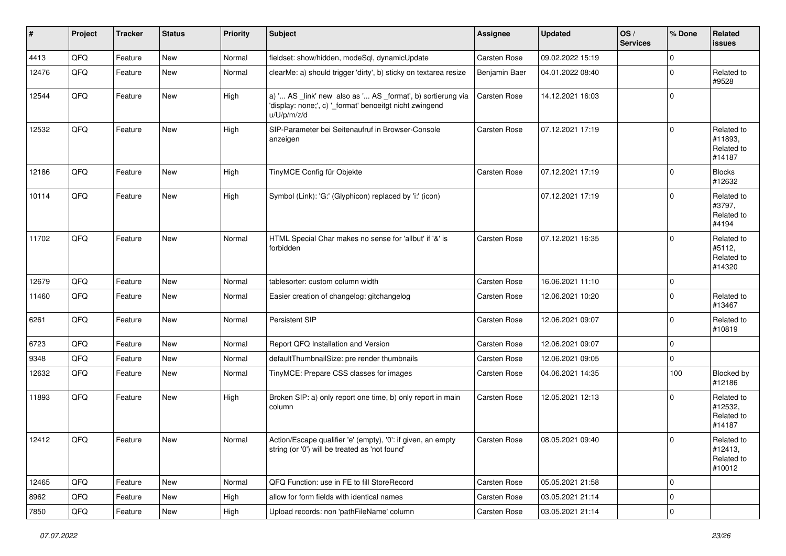| $\vert$ # | Project | <b>Tracker</b> | <b>Status</b> | <b>Priority</b> | <b>Subject</b>                                                                                                                        | Assignee            | <b>Updated</b>   | OS/<br><b>Services</b> | % Done      | Related<br><b>issues</b>                      |
|-----------|---------|----------------|---------------|-----------------|---------------------------------------------------------------------------------------------------------------------------------------|---------------------|------------------|------------------------|-------------|-----------------------------------------------|
| 4413      | QFQ     | Feature        | New           | Normal          | fieldset: show/hidden, modeSql, dynamicUpdate                                                                                         | Carsten Rose        | 09.02.2022 15:19 |                        | $\mathbf 0$ |                                               |
| 12476     | QFQ     | Feature        | New           | Normal          | clearMe: a) should trigger 'dirty', b) sticky on textarea resize                                                                      | Benjamin Baer       | 04.01.2022 08:40 |                        | $\mathbf 0$ | Related to<br>#9528                           |
| 12544     | QFQ     | Feature        | New           | High            | a) ' AS _link' new also as ' AS _format', b) sortierung via<br>'display: none;', c) '_format' benoeitgt nicht zwingend<br>u/U/p/m/z/d | <b>Carsten Rose</b> | 14.12.2021 16:03 |                        | $\mathbf 0$ |                                               |
| 12532     | QFQ     | Feature        | New           | High            | SIP-Parameter bei Seitenaufruf in Browser-Console<br>anzeigen                                                                         | <b>Carsten Rose</b> | 07.12.2021 17:19 |                        | $\mathbf 0$ | Related to<br>#11893,<br>Related to<br>#14187 |
| 12186     | QFQ     | Feature        | <b>New</b>    | High            | TinyMCE Config für Objekte                                                                                                            | <b>Carsten Rose</b> | 07.12.2021 17:19 |                        | $\Omega$    | <b>Blocks</b><br>#12632                       |
| 10114     | QFQ     | Feature        | New           | High            | Symbol (Link): 'G:' (Glyphicon) replaced by 'i:' (icon)                                                                               |                     | 07.12.2021 17:19 |                        | $\Omega$    | Related to<br>#3797,<br>Related to<br>#4194   |
| 11702     | QFQ     | Feature        | New           | Normal          | HTML Special Char makes no sense for 'allbut' if '&' is<br>forbidden                                                                  | <b>Carsten Rose</b> | 07.12.2021 16:35 |                        | $\mathbf 0$ | Related to<br>#5112,<br>Related to<br>#14320  |
| 12679     | QFQ     | Feature        | <b>New</b>    | Normal          | tablesorter: custom column width                                                                                                      | <b>Carsten Rose</b> | 16.06.2021 11:10 |                        | $\mathbf 0$ |                                               |
| 11460     | QFQ     | Feature        | New           | Normal          | Easier creation of changelog: gitchangelog                                                                                            | <b>Carsten Rose</b> | 12.06.2021 10:20 |                        | $\mathbf 0$ | Related to<br>#13467                          |
| 6261      | QFQ     | Feature        | New           | Normal          | Persistent SIP                                                                                                                        | <b>Carsten Rose</b> | 12.06.2021 09:07 |                        | $\mathbf 0$ | Related to<br>#10819                          |
| 6723      | QFQ     | Feature        | New           | Normal          | Report QFQ Installation and Version                                                                                                   | <b>Carsten Rose</b> | 12.06.2021 09:07 |                        | $\mathbf 0$ |                                               |
| 9348      | QFQ     | Feature        | New           | Normal          | defaultThumbnailSize: pre render thumbnails                                                                                           | Carsten Rose        | 12.06.2021 09:05 |                        | $\mathbf 0$ |                                               |
| 12632     | QFQ     | Feature        | New           | Normal          | TinyMCE: Prepare CSS classes for images                                                                                               | Carsten Rose        | 04.06.2021 14:35 |                        | 100         | Blocked by<br>#12186                          |
| 11893     | QFQ     | Feature        | New           | High            | Broken SIP: a) only report one time, b) only report in main<br>column                                                                 | <b>Carsten Rose</b> | 12.05.2021 12:13 |                        | $\Omega$    | Related to<br>#12532,<br>Related to<br>#14187 |
| 12412     | QFQ     | Feature        | New           | Normal          | Action/Escape qualifier 'e' (empty), '0': if given, an empty<br>string (or '0') will be treated as 'not found'                        | Carsten Rose        | 08.05.2021 09:40 |                        | 0           | Related to<br>#12413,<br>Related to<br>#10012 |
| 12465     | QFQ     | Feature        | New           | Normal          | QFQ Function: use in FE to fill StoreRecord                                                                                           | Carsten Rose        | 05.05.2021 21:58 |                        | $\mathbf 0$ |                                               |
| 8962      | QFQ     | Feature        | New           | High            | allow for form fields with identical names                                                                                            | Carsten Rose        | 03.05.2021 21:14 |                        | $\mathbf 0$ |                                               |
| 7850      | QFQ     | Feature        | New           | High            | Upload records: non 'pathFileName' column                                                                                             | Carsten Rose        | 03.05.2021 21:14 |                        | $\mathbf 0$ |                                               |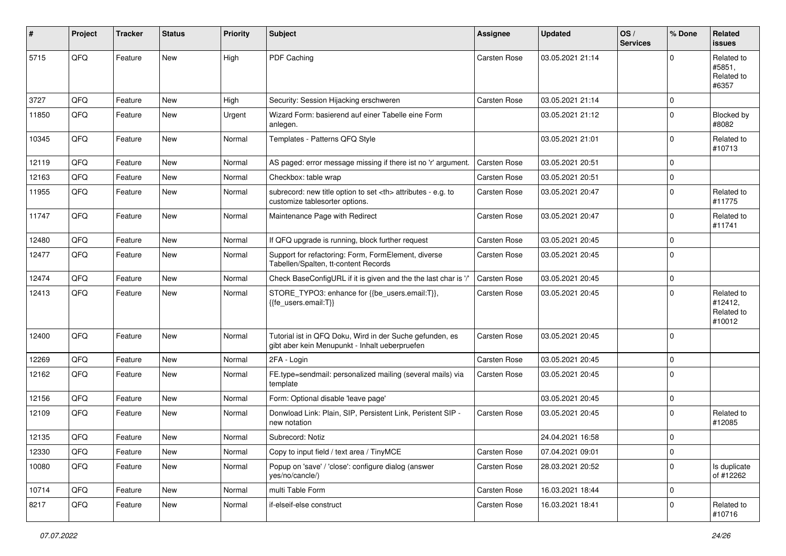| ∦     | Project | <b>Tracker</b> | <b>Status</b> | <b>Priority</b> | <b>Subject</b>                                                                                             | Assignee                                               | <b>Updated</b>      | OS/<br><b>Services</b> | % Done      | Related<br>issues                             |                      |
|-------|---------|----------------|---------------|-----------------|------------------------------------------------------------------------------------------------------------|--------------------------------------------------------|---------------------|------------------------|-------------|-----------------------------------------------|----------------------|
| 5715  | QFQ     | Feature        | New           | High            | PDF Caching                                                                                                | Carsten Rose                                           | 03.05.2021 21:14    |                        | $\Omega$    | Related to<br>#5851,<br>Related to<br>#6357   |                      |
| 3727  | QFQ     | Feature        | <b>New</b>    | High            | Security: Session Hijacking erschweren                                                                     | Carsten Rose                                           | 03.05.2021 21:14    |                        | $\mathbf 0$ |                                               |                      |
| 11850 | QFQ     | Feature        | New           | Urgent          | Wizard Form: basierend auf einer Tabelle eine Form<br>anlegen.                                             |                                                        | 03.05.2021 21:12    |                        | $\mathbf 0$ | Blocked by<br>#8082                           |                      |
| 10345 | QFQ     | Feature        | New           | Normal          | Templates - Patterns QFQ Style                                                                             |                                                        | 03.05.2021 21:01    |                        | $\mathbf 0$ | Related to<br>#10713                          |                      |
| 12119 | QFQ     | Feature        | New           | Normal          | AS paged: error message missing if there ist no 'r' argument.                                              | <b>Carsten Rose</b>                                    | 03.05.2021 20:51    |                        | $\mathbf 0$ |                                               |                      |
| 12163 | QFQ     | Feature        | New           | Normal          | Checkbox: table wrap                                                                                       | Carsten Rose                                           | 03.05.2021 20:51    |                        | $\mathbf 0$ |                                               |                      |
| 11955 | QFQ     | Feature        | New           | Normal          | subrecord: new title option to set <th> attributes - e.g. to<br/>customize tablesorter options.</th>       | attributes - e.g. to<br>customize tablesorter options. | <b>Carsten Rose</b> | 03.05.2021 20:47       |             | $\mathbf 0$                                   | Related to<br>#11775 |
| 11747 | QFQ     | Feature        | New           | Normal          | Maintenance Page with Redirect                                                                             | <b>Carsten Rose</b>                                    | 03.05.2021 20:47    |                        | $\mathbf 0$ | Related to<br>#11741                          |                      |
| 12480 | QFQ     | Feature        | <b>New</b>    | Normal          | If QFQ upgrade is running, block further request                                                           | <b>Carsten Rose</b>                                    | 03.05.2021 20:45    |                        | $\mathbf 0$ |                                               |                      |
| 12477 | QFQ     | Feature        | New           | Normal          | Support for refactoring: Form, FormElement, diverse<br>Tabellen/Spalten, tt-content Records                | Carsten Rose                                           | 03.05.2021 20:45    |                        | $\mathbf 0$ |                                               |                      |
| 12474 | QFQ     | Feature        | New           | Normal          | Check BaseConfigURL if it is given and the the last char is '/'                                            | Carsten Rose                                           | 03.05.2021 20:45    |                        | $\mathbf 0$ |                                               |                      |
| 12413 | QFQ     | Feature        | New           | Normal          | STORE_TYPO3: enhance for {{be_users.email:T}},<br>{{fe users.email:T}}                                     | <b>Carsten Rose</b>                                    | 03.05.2021 20:45    |                        | $\mathbf 0$ | Related to<br>#12412,<br>Related to<br>#10012 |                      |
| 12400 | QFQ     | Feature        | New           | Normal          | Tutorial ist in QFQ Doku, Wird in der Suche gefunden, es<br>gibt aber kein Menupunkt - Inhalt ueberpruefen | Carsten Rose                                           | 03.05.2021 20:45    |                        | $\mathbf 0$ |                                               |                      |
| 12269 | QFQ     | Feature        | New           | Normal          | 2FA - Login                                                                                                | Carsten Rose                                           | 03.05.2021 20:45    |                        | $\mathbf 0$ |                                               |                      |
| 12162 | QFQ     | Feature        | New           | Normal          | FE.type=sendmail: personalized mailing (several mails) via<br>template                                     | <b>Carsten Rose</b>                                    | 03.05.2021 20:45    |                        | $\mathbf 0$ |                                               |                      |
| 12156 | QFQ     | Feature        | <b>New</b>    | Normal          | Form: Optional disable 'leave page'                                                                        |                                                        | 03.05.2021 20:45    |                        | $\mathbf 0$ |                                               |                      |
| 12109 | QFQ     | Feature        | New           | Normal          | Donwload Link: Plain, SIP, Persistent Link, Peristent SIP -<br>new notation                                | Carsten Rose                                           | 03.05.2021 20:45    |                        | $\mathbf 0$ | Related to<br>#12085                          |                      |
| 12135 | QFQ     | Feature        | New           | Normal          | Subrecord: Notiz                                                                                           |                                                        | 24.04.2021 16:58    |                        | $\mathbf 0$ |                                               |                      |
| 12330 | QFG     | Feature        | New           | Normal          | Copy to input field / text area / TinyMCE                                                                  | Carsten Rose                                           | 07.04.2021 09:01    |                        | $\mathbf 0$ |                                               |                      |
| 10080 | QFQ     | Feature        | New           | Normal          | Popup on 'save' / 'close': configure dialog (answer<br>yes/no/cancle/)                                     | Carsten Rose                                           | 28.03.2021 20:52    |                        | $\mathbf 0$ | Is duplicate<br>of #12262                     |                      |
| 10714 | QFQ     | Feature        | New           | Normal          | multi Table Form                                                                                           | Carsten Rose                                           | 16.03.2021 18:44    |                        | $\mathbf 0$ |                                               |                      |
| 8217  | QFO     | Feature        | New           | Normal          | if-elseif-else construct                                                                                   | Carsten Rose                                           | 16.03.2021 18:41    |                        | $\mathbf 0$ | Related to<br>#10716                          |                      |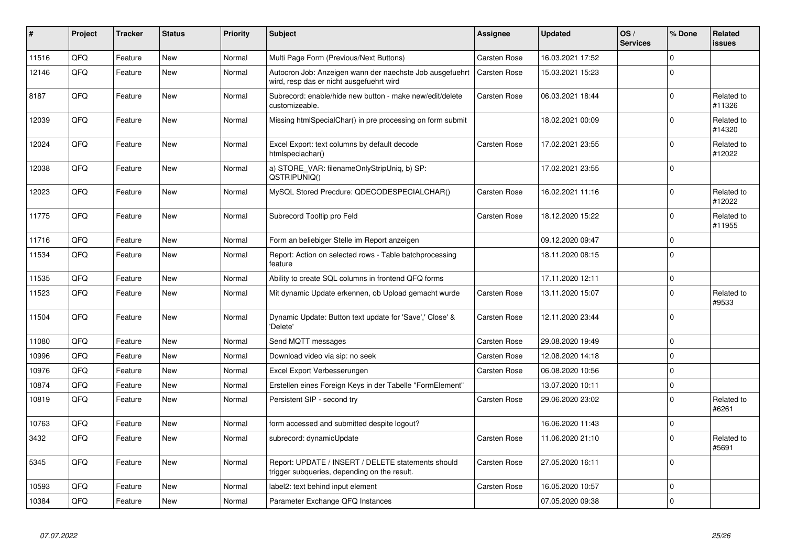| #     | Project | <b>Tracker</b> | <b>Status</b> | <b>Priority</b> | <b>Subject</b>                                                                                       | Assignee            | <b>Updated</b>   | OS/<br><b>Services</b> | % Done              | <b>Related</b><br><b>issues</b> |
|-------|---------|----------------|---------------|-----------------|------------------------------------------------------------------------------------------------------|---------------------|------------------|------------------------|---------------------|---------------------------------|
| 11516 | QFQ     | Feature        | <b>New</b>    | Normal          | Multi Page Form (Previous/Next Buttons)                                                              | Carsten Rose        | 16.03.2021 17:52 |                        | $\mathbf 0$         |                                 |
| 12146 | QFQ     | Feature        | <b>New</b>    | Normal          | Autocron Job: Anzeigen wann der naechste Job ausgefuehrt<br>wird, resp das er nicht ausgefuehrt wird | Carsten Rose        | 15.03.2021 15:23 |                        | $\Omega$            |                                 |
| 8187  | QFQ     | Feature        | <b>New</b>    | Normal          | Subrecord: enable/hide new button - make new/edit/delete<br>customizeable.                           | Carsten Rose        | 06.03.2021 18:44 |                        | $\Omega$            | Related to<br>#11326            |
| 12039 | QFQ     | Feature        | <b>New</b>    | Normal          | Missing htmlSpecialChar() in pre processing on form submit                                           |                     | 18.02.2021 00:09 |                        | $\mathsf{O}\xspace$ | Related to<br>#14320            |
| 12024 | QFQ     | Feature        | <b>New</b>    | Normal          | Excel Export: text columns by default decode<br>htmlspeciachar()                                     | <b>Carsten Rose</b> | 17.02.2021 23:55 |                        | $\mathbf 0$         | Related to<br>#12022            |
| 12038 | QFQ     | Feature        | <b>New</b>    | Normal          | a) STORE_VAR: filenameOnlyStripUniq, b) SP:<br>QSTRIPUNIQ()                                          |                     | 17.02.2021 23:55 |                        | $\mathbf 0$         |                                 |
| 12023 | QFQ     | Feature        | New           | Normal          | MySQL Stored Precdure: QDECODESPECIALCHAR()                                                          | <b>Carsten Rose</b> | 16.02.2021 11:16 |                        | $\mathbf 0$         | Related to<br>#12022            |
| 11775 | QFQ     | Feature        | <b>New</b>    | Normal          | Subrecord Tooltip pro Feld                                                                           | Carsten Rose        | 18.12.2020 15:22 |                        | $\pmb{0}$           | Related to<br>#11955            |
| 11716 | QFQ     | Feature        | <b>New</b>    | Normal          | Form an beliebiger Stelle im Report anzeigen                                                         |                     | 09.12.2020 09:47 |                        | $\mathsf{O}\xspace$ |                                 |
| 11534 | QFQ     | Feature        | <b>New</b>    | Normal          | Report: Action on selected rows - Table batchprocessing<br>feature                                   |                     | 18.11.2020 08:15 |                        | $\mathbf 0$         |                                 |
| 11535 | QFQ     | Feature        | New           | Normal          | Ability to create SQL columns in frontend QFQ forms                                                  |                     | 17.11.2020 12:11 |                        | $\mathbf 0$         |                                 |
| 11523 | QFQ     | Feature        | <b>New</b>    | Normal          | Mit dynamic Update erkennen, ob Upload gemacht wurde                                                 | <b>Carsten Rose</b> | 13.11.2020 15:07 |                        | $\mathbf 0$         | Related to<br>#9533             |
| 11504 | QFQ     | Feature        | <b>New</b>    | Normal          | Dynamic Update: Button text update for 'Save',' Close' &<br>'Delete'                                 | <b>Carsten Rose</b> | 12.11.2020 23:44 |                        | $\Omega$            |                                 |
| 11080 | QFQ     | Feature        | <b>New</b>    | Normal          | Send MQTT messages                                                                                   | <b>Carsten Rose</b> | 29.08.2020 19:49 |                        | $\mathbf 0$         |                                 |
| 10996 | QFQ     | Feature        | New           | Normal          | Download video via sip: no seek                                                                      | Carsten Rose        | 12.08.2020 14:18 |                        | $\Omega$            |                                 |
| 10976 | QFQ     | Feature        | <b>New</b>    | Normal          | Excel Export Verbesserungen                                                                          | Carsten Rose        | 06.08.2020 10:56 |                        | $\mathbf 0$         |                                 |
| 10874 | QFQ     | Feature        | New           | Normal          | Erstellen eines Foreign Keys in der Tabelle "FormElement"                                            |                     | 13.07.2020 10:11 |                        | $\mathsf{O}\xspace$ |                                 |
| 10819 | QFQ     | Feature        | <b>New</b>    | Normal          | Persistent SIP - second try                                                                          | <b>Carsten Rose</b> | 29.06.2020 23:02 |                        | $\mathbf 0$         | Related to<br>#6261             |
| 10763 | QFQ     | Feature        | New           | Normal          | form accessed and submitted despite logout?                                                          |                     | 16.06.2020 11:43 |                        | $\mathbf 0$         |                                 |
| 3432  | QFQ     | Feature        | <b>New</b>    | Normal          | subrecord: dynamicUpdate                                                                             | Carsten Rose        | 11.06.2020 21:10 |                        | $\mathbf 0$         | Related to<br>#5691             |
| 5345  | QFQ     | Feature        | <b>New</b>    | Normal          | Report: UPDATE / INSERT / DELETE statements should<br>trigger subqueries, depending on the result.   | <b>Carsten Rose</b> | 27.05.2020 16:11 |                        | $\mathbf 0$         |                                 |
| 10593 | QFQ     | Feature        | <b>New</b>    | Normal          | label2: text behind input element                                                                    | <b>Carsten Rose</b> | 16.05.2020 10:57 |                        | $\pmb{0}$           |                                 |
| 10384 | QFQ     | Feature        | <b>New</b>    | Normal          | Parameter Exchange QFQ Instances                                                                     |                     | 07.05.2020 09:38 |                        | $\mathsf{O}\xspace$ |                                 |